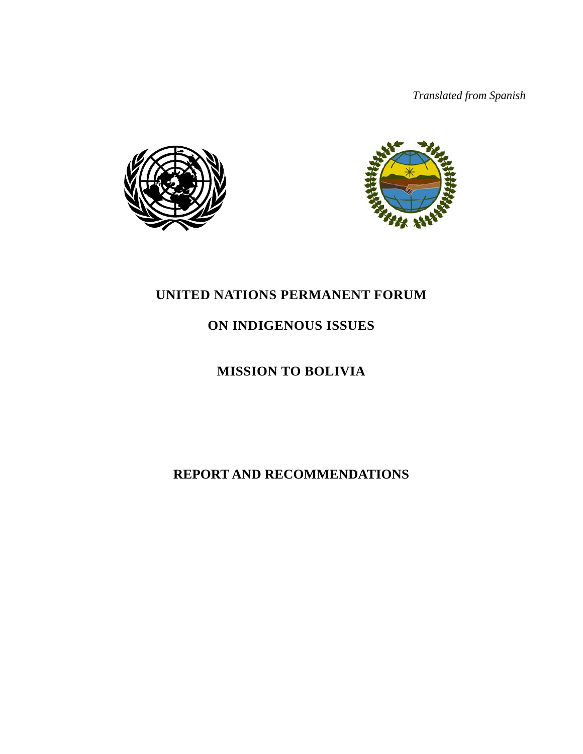*Translated from Spanish* 





# **UNITED NATIONS PERMANENT FORUM**

# **ON INDIGENOUS ISSUES**

# **MISSION TO BOLIVIA**

**REPORT AND RECOMMENDATIONS**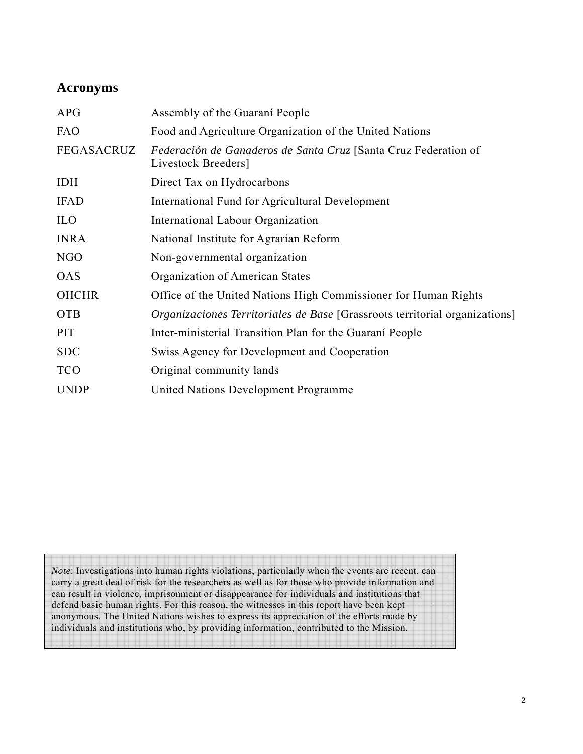# **Acronyms**

| <b>APG</b>   | Assembly of the Guarani People                                                         |  |  |
|--------------|----------------------------------------------------------------------------------------|--|--|
| <b>FAO</b>   | Food and Agriculture Organization of the United Nations                                |  |  |
| FEGASACRUZ   | Federación de Ganaderos de Santa Cruz [Santa Cruz Federation of<br>Livestock Breeders] |  |  |
| <b>IDH</b>   | Direct Tax on Hydrocarbons                                                             |  |  |
| <b>IFAD</b>  | International Fund for Agricultural Development                                        |  |  |
| <b>ILO</b>   | International Labour Organization                                                      |  |  |
| <b>INRA</b>  | National Institute for Agrarian Reform                                                 |  |  |
| NGO          | Non-governmental organization                                                          |  |  |
| <b>OAS</b>   | Organization of American States                                                        |  |  |
| <b>OHCHR</b> | Office of the United Nations High Commissioner for Human Rights                        |  |  |
| <b>OTB</b>   | <i>Organizaciones Territoriales de Base</i> [Grassroots territorial organizations]     |  |  |
| <b>PIT</b>   | Inter-ministerial Transition Plan for the Guarani People                               |  |  |
| <b>SDC</b>   | Swiss Agency for Development and Cooperation                                           |  |  |
| <b>TCO</b>   | Original community lands                                                               |  |  |
| <b>UNDP</b>  | United Nations Development Programme                                                   |  |  |

*Note*: Investigations into human rights violations, particularly when the events are recent, can carry a great deal of risk for the researchers as well as for those who provide information and can result in violence, imprisonment or disappearance for individuals and institutions that defend basic human rights. For this reason, the witnesses in this report have been kept anonymous. The United Nations wishes to express its appreciation of the efforts made by individuals and institutions who, by providing information, contributed to the Mission.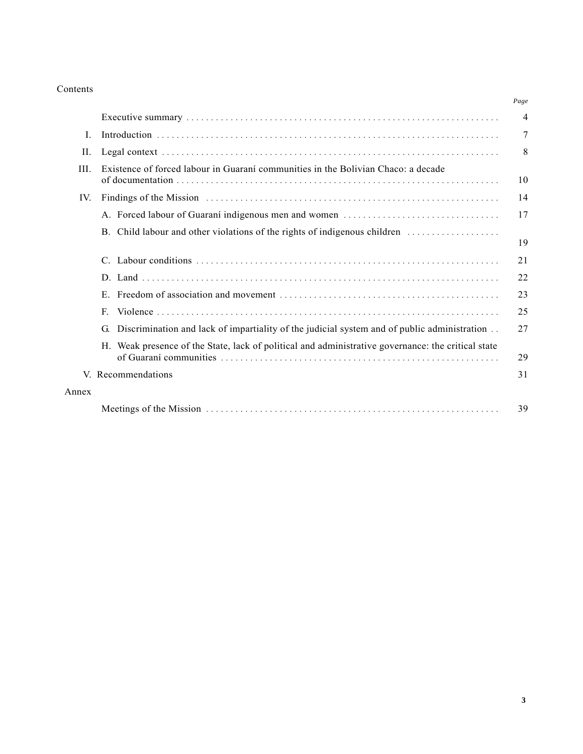#### Contents

|       |                                                                                                                                                                                                                                | Page |
|-------|--------------------------------------------------------------------------------------------------------------------------------------------------------------------------------------------------------------------------------|------|
|       |                                                                                                                                                                                                                                | 4    |
| L     |                                                                                                                                                                                                                                | 7    |
| II.   |                                                                                                                                                                                                                                | 8    |
| III.  | Existence of forced labour in Guarani communities in the Bolivian Chaco: a decade                                                                                                                                              | 10   |
| IV.   | Findings of the Mission contained and the Mission contained and the Mission contained and the Mission contained and the Mission contained and the Mission contained and the Mission contained and the Mission contained and th | 14   |
|       |                                                                                                                                                                                                                                | 17   |
|       | B. Child labour and other violations of the rights of indigenous children                                                                                                                                                      | 19   |
|       | $C_{-}$                                                                                                                                                                                                                        | 21   |
|       |                                                                                                                                                                                                                                | 22   |
|       |                                                                                                                                                                                                                                | 23   |
|       | $F_{\cdot}$                                                                                                                                                                                                                    | 25   |
|       | Discrimination and lack of impartiality of the judicial system and of public administration<br>G.                                                                                                                              | 27   |
|       | H. Weak presence of the State, lack of political and administrative governance: the critical state                                                                                                                             | 29   |
|       | V. Recommendations                                                                                                                                                                                                             | 31   |
| Annex |                                                                                                                                                                                                                                |      |
|       |                                                                                                                                                                                                                                | 39   |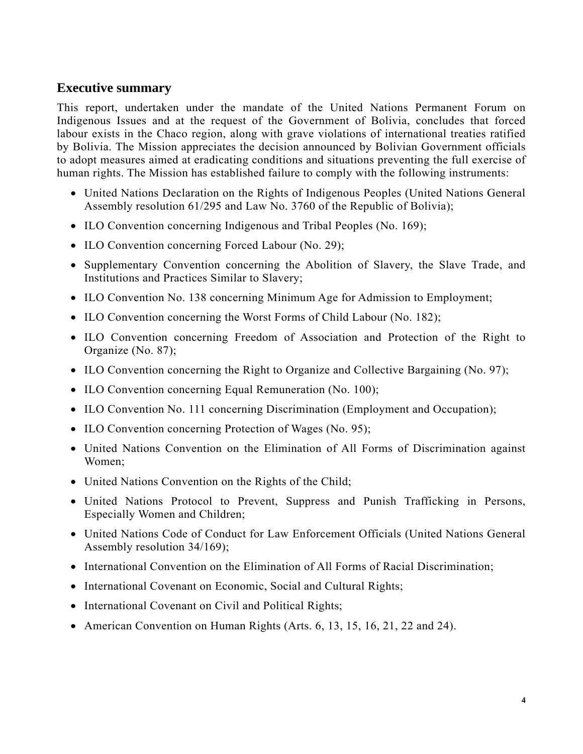# **Executive summary**

This report, undertaken under the mandate of the United Nations Permanent Forum on Indigenous Issues and at the request of the Government of Bolivia, concludes that forced labour exists in the Chaco region, along with grave violations of international treaties ratified by Bolivia. The Mission appreciates the decision announced by Bolivian Government officials to adopt measures aimed at eradicating conditions and situations preventing the full exercise of human rights. The Mission has established failure to comply with the following instruments:

- United Nations Declaration on the Rights of Indigenous Peoples (United Nations General Assembly resolution 61/295 and Law No. 3760 of the Republic of Bolivia);
- ILO Convention concerning Indigenous and Tribal Peoples (No. 169);
- ILO Convention concerning Forced Labour (No. 29);
- Supplementary Convention concerning the Abolition of Slavery, the Slave Trade, and Institutions and Practices Similar to Slavery;
- ILO Convention No. 138 concerning Minimum Age for Admission to Employment;
- ILO Convention concerning the Worst Forms of Child Labour (No. 182);
- ILO Convention concerning Freedom of Association and Protection of the Right to Organize (No. 87);
- ILO Convention concerning the Right to Organize and Collective Bargaining (No. 97);
- ILO Convention concerning Equal Remuneration (No. 100);
- ILO Convention No. 111 concerning Discrimination (Employment and Occupation);
- ILO Convention concerning Protection of Wages (No. 95);
- United Nations Convention on the Elimination of All Forms of Discrimination against Women;
- United Nations Convention on the Rights of the Child;
- United Nations Protocol to Prevent, Suppress and Punish Trafficking in Persons, Especially Women and Children;
- United Nations Code of Conduct for Law Enforcement Officials (United Nations General Assembly resolution 34/169);
- International Convention on the Elimination of All Forms of Racial Discrimination;
- International Covenant on Economic, Social and Cultural Rights;
- International Covenant on Civil and Political Rights;
- American Convention on Human Rights (Arts. 6, 13, 15, 16, 21, 22 and 24).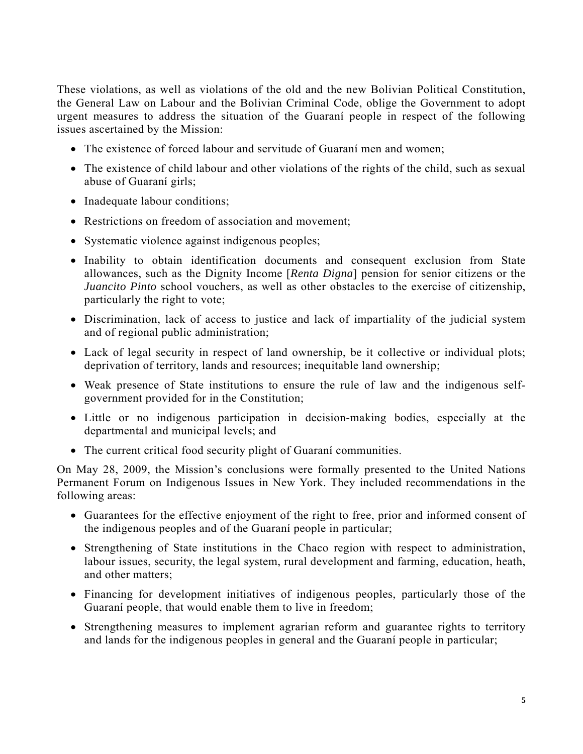These violations, as well as violations of the old and the new Bolivian Political Constitution, the General Law on Labour and the Bolivian Criminal Code, oblige the Government to adopt urgent measures to address the situation of the Guaraní people in respect of the following issues ascertained by the Mission:

- The existence of forced labour and servitude of Guaraní men and women;
- The existence of child labour and other violations of the rights of the child, such as sexual abuse of Guaraní girls;
- Inadequate labour conditions;
- Restrictions on freedom of association and movement;
- Systematic violence against indigenous peoples;
- Inability to obtain identification documents and consequent exclusion from State allowances, such as the Dignity Income [*Renta Digna*] pension for senior citizens or the *Juancito Pinto* school vouchers, as well as other obstacles to the exercise of citizenship, particularly the right to vote;
- Discrimination, lack of access to justice and lack of impartiality of the judicial system and of regional public administration;
- Lack of legal security in respect of land ownership, be it collective or individual plots; deprivation of territory, lands and resources; inequitable land ownership;
- Weak presence of State institutions to ensure the rule of law and the indigenous selfgovernment provided for in the Constitution;
- Little or no indigenous participation in decision-making bodies, especially at the departmental and municipal levels; and
- The current critical food security plight of Guarani communities.

On May 28, 2009, the Mission's conclusions were formally presented to the United Nations Permanent Forum on Indigenous Issues in New York. They included recommendations in the following areas:

- Guarantees for the effective enjoyment of the right to free, prior and informed consent of the indigenous peoples and of the Guaraní people in particular;
- Strengthening of State institutions in the Chaco region with respect to administration, labour issues, security, the legal system, rural development and farming, education, heath, and other matters;
- Financing for development initiatives of indigenous peoples, particularly those of the Guaraní people, that would enable them to live in freedom;
- Strengthening measures to implement agrarian reform and guarantee rights to territory and lands for the indigenous peoples in general and the Guaraní people in particular;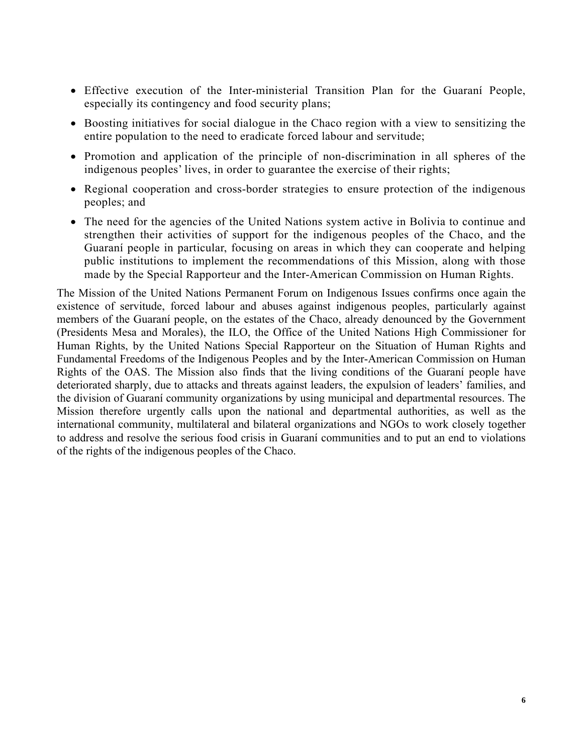- Effective execution of the Inter-ministerial Transition Plan for the Guaraní People, especially its contingency and food security plans;
- Boosting initiatives for social dialogue in the Chaco region with a view to sensitizing the entire population to the need to eradicate forced labour and servitude;
- Promotion and application of the principle of non-discrimination in all spheres of the indigenous peoples' lives, in order to guarantee the exercise of their rights;
- Regional cooperation and cross-border strategies to ensure protection of the indigenous peoples; and
- The need for the agencies of the United Nations system active in Bolivia to continue and strengthen their activities of support for the indigenous peoples of the Chaco, and the Guaraní people in particular, focusing on areas in which they can cooperate and helping public institutions to implement the recommendations of this Mission, along with those made by the Special Rapporteur and the Inter-American Commission on Human Rights.

The Mission of the United Nations Permanent Forum on Indigenous Issues confirms once again the existence of servitude, forced labour and abuses against indigenous peoples, particularly against members of the Guaraní people, on the estates of the Chaco, already denounced by the Government (Presidents Mesa and Morales), the ILO, the Office of the United Nations High Commissioner for Human Rights, by the United Nations Special Rapporteur on the Situation of Human Rights and Fundamental Freedoms of the Indigenous Peoples and by the Inter-American Commission on Human Rights of the OAS. The Mission also finds that the living conditions of the Guaraní people have deteriorated sharply, due to attacks and threats against leaders, the expulsion of leaders' families, and the division of Guaraní community organizations by using municipal and departmental resources. The Mission therefore urgently calls upon the national and departmental authorities, as well as the international community, multilateral and bilateral organizations and NGOs to work closely together to address and resolve the serious food crisis in Guaraní communities and to put an end to violations of the rights of the indigenous peoples of the Chaco.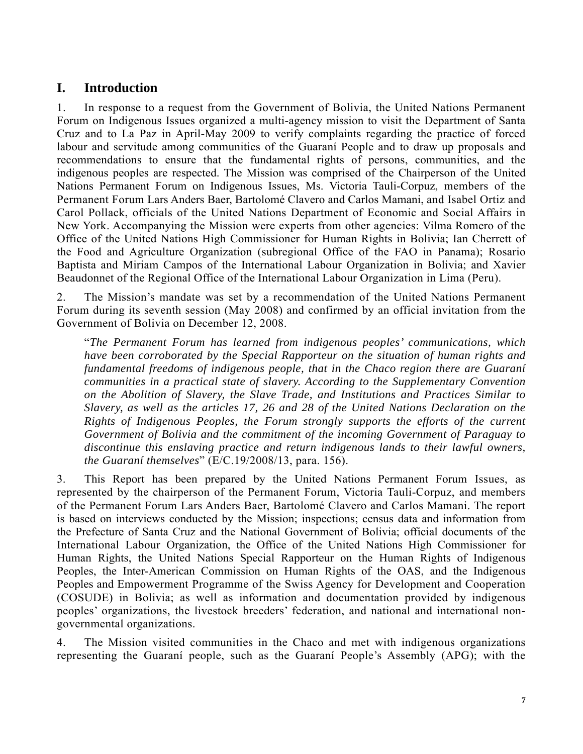# **I. Introduction**

1. In response to a request from the Government of Bolivia, the United Nations Permanent Forum on Indigenous Issues organized a multi-agency mission to visit the Department of Santa Cruz and to La Paz in April-May 2009 to verify complaints regarding the practice of forced labour and servitude among communities of the Guaraní People and to draw up proposals and recommendations to ensure that the fundamental rights of persons, communities, and the indigenous peoples are respected. The Mission was comprised of the Chairperson of the United Nations Permanent Forum on Indigenous Issues, Ms. Victoria Tauli-Corpuz, members of the Permanent Forum Lars Anders Baer, Bartolomé Clavero and Carlos Mamani, and Isabel Ortiz and Carol Pollack, officials of the United Nations Department of Economic and Social Affairs in New York. Accompanying the Mission were experts from other agencies: Vilma Romero of the Office of the United Nations High Commissioner for Human Rights in Bolivia; Ian Cherrett of the Food and Agriculture Organization (subregional Office of the FAO in Panama); Rosario Baptista and Miriam Campos of the International Labour Organization in Bolivia; and Xavier Beaudonnet of the Regional Office of the International Labour Organization in Lima (Peru).

2. The Mission's mandate was set by a recommendation of the United Nations Permanent Forum during its seventh session (May 2008) and confirmed by an official invitation from the Government of Bolivia on December 12, 2008.

"*The Permanent Forum has learned from indigenous peoples' communications, which have been corroborated by the Special Rapporteur on the situation of human rights and fundamental freedoms of indigenous people, that in the Chaco region there are Guaraní communities in a practical state of slavery. According to the Supplementary Convention on the Abolition of Slavery, the Slave Trade, and Institutions and Practices Similar to Slavery, as well as the articles 17, 26 and 28 of the United Nations Declaration on the Rights of Indigenous Peoples, the Forum strongly supports the efforts of the current Government of Bolivia and the commitment of the incoming Government of Paraguay to discontinue this enslaving practice and return indigenous lands to their lawful owners, the Guaraní themselves*" (E/C.19/2008/13, para. 156).

3. This Report has been prepared by the United Nations Permanent Forum Issues, as represented by the chairperson of the Permanent Forum, Victoria Tauli-Corpuz, and members of the Permanent Forum Lars Anders Baer, Bartolomé Clavero and Carlos Mamani. The report is based on interviews conducted by the Mission; inspections; census data and information from the Prefecture of Santa Cruz and the National Government of Bolivia; official documents of the International Labour Organization, the Office of the United Nations High Commissioner for Human Rights, the United Nations Special Rapporteur on the Human Rights of Indigenous Peoples, the Inter-American Commission on Human Rights of the OAS, and the Indigenous Peoples and Empowerment Programme of the Swiss Agency for Development and Cooperation (COSUDE) in Bolivia; as well as information and documentation provided by indigenous peoples' organizations, the livestock breeders' federation, and national and international nongovernmental organizations.

4. The Mission visited communities in the Chaco and met with indigenous organizations representing the Guaraní people, such as the Guaraní People's Assembly (APG); with the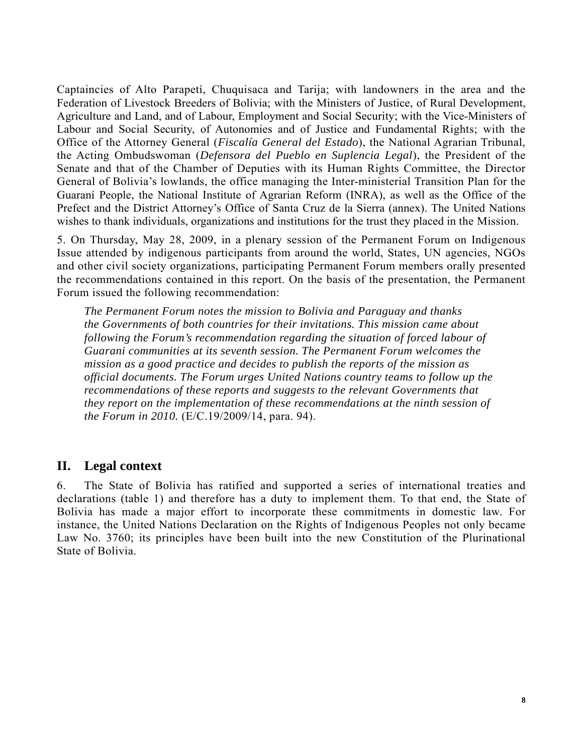Captaincies of Alto Parapetí, Chuquisaca and Tarija; with landowners in the area and the Federation of Livestock Breeders of Bolivia; with the Ministers of Justice, of Rural Development, Agriculture and Land, and of Labour, Employment and Social Security; with the Vice-Ministers of Labour and Social Security, of Autonomies and of Justice and Fundamental Rights; with the Office of the Attorney General (*Fiscalía General del Estado*), the National Agrarian Tribunal, the Acting Ombudswoman (*Defensora del Pueblo en Suplencia Legal*), the President of the Senate and that of the Chamber of Deputies with its Human Rights Committee, the Director General of Bolivia's lowlands, the office managing the Inter-ministerial Transition Plan for the Guaraní People, the National Institute of Agrarian Reform (INRA), as well as the Office of the Prefect and the District Attorney's Office of Santa Cruz de la Sierra (annex). The United Nations wishes to thank individuals, organizations and institutions for the trust they placed in the Mission.

5. On Thursday, May 28, 2009, in a plenary session of the Permanent Forum on Indigenous Issue attended by indigenous participants from around the world, States, UN agencies, NGOs and other civil society organizations, participating Permanent Forum members orally presented the recommendations contained in this report. On the basis of the presentation, the Permanent Forum issued the following recommendation:

*The Permanent Forum notes the mission to Bolivia and Paraguay and thanks the Governments of both countries for their invitations. This mission came about following the Forum's recommendation regarding the situation of forced labour of Guarani communities at its seventh session. The Permanent Forum welcomes the mission as a good practice and decides to publish the reports of the mission as official documents. The Forum urges United Nations country teams to follow up the recommendations of these reports and suggests to the relevant Governments that they report on the implementation of these recommendations at the ninth session of the Forum in 2010.* (E/C.19/2009/14, para. 94).

# **II. Legal context**

6. The State of Bolivia has ratified and supported a series of international treaties and declarations (table 1) and therefore has a duty to implement them. To that end, the State of Bolivia has made a major effort to incorporate these commitments in domestic law. For instance, the United Nations Declaration on the Rights of Indigenous Peoples not only became Law No. 3760; its principles have been built into the new Constitution of the Plurinational State of Bolivia.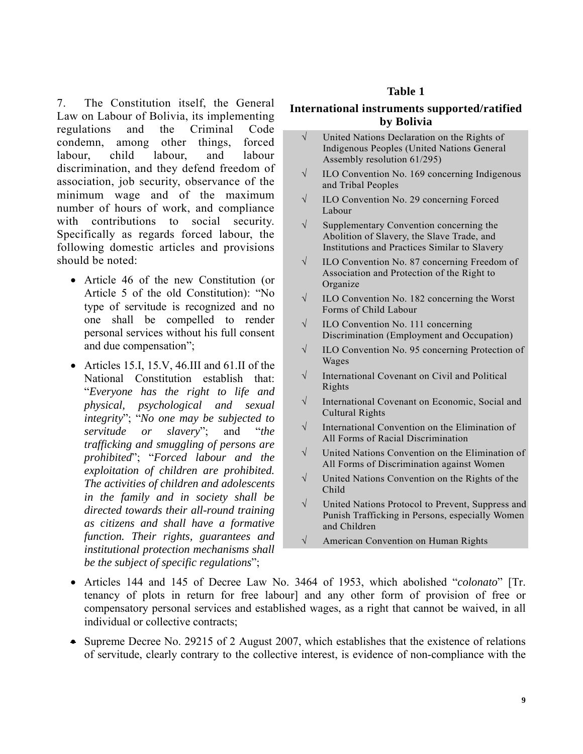7. The Constitution itself, the General Law on Labour of Bolivia, its implementing regulations and the Criminal Code condemn, among other things, forced labour, child labour, and labour discrimination, and they defend freedom of association, job security, observance of the minimum wage and of the maximum number of hours of work, and compliance with contributions to social security. Specifically as regards forced labour, the following domestic articles and provisions should be noted:

- Article 46 of the new Constitution (or Article 5 of the old Constitution): "No type of servitude is recognized and no one shall be compelled to render personal services without his full consent and due compensation";
- Articles 15.I, 15.V, 46.III and 61.II of the National Constitution establish that: "*Everyone has the right to life and physical, psychological and sexual integrity*"; "*No one may be subjected to servitude or slavery*"; and "*the trafficking and smuggling of persons are prohibited*"; "*Forced labour and the exploitation of children are prohibited. The activities of children and adolescents in the family and in society shall be directed towards their all-round training as citizens and shall have a formative function. Their rights, guarantees and institutional protection mechanisms shall be the subject of specific regulations*";

#### **Table 1**

#### **International instruments supported/ratified by Bolivia**

- √ United Nations Declaration on the Rights of Indigenous Peoples (United Nations General Assembly resolution 61/295)
- $\sqrt{\frac{1}{100}}$  ILO Convention No. 169 concerning Indigenous and Tribal Peoples
- √ ILO Convention No. 29 concerning Forced Labour
- $\sqrt{\phantom{a}}$  Supplementary Convention concerning the Abolition of Slavery, the Slave Trade, and Institutions and Practices Similar to Slavery
- √ ILO Convention No. 87 concerning Freedom of Association and Protection of the Right to Organize
- √ ILO Convention No. 182 concerning the Worst Forms of Child Labour
- $\sqrt{\quad}$  ILO Convention No. 111 concerning Discrimination (Employment and Occupation)
- √ ILO Convention No. 95 concerning Protection of Wages
- √ International Covenant on Civil and Political Rights
- √ International Covenant on Economic, Social and Cultural Rights
- $\sqrt{\phantom{a}}$  International Convention on the Elimination of All Forms of Racial Discrimination
- √ United Nations Convention on the Elimination of All Forms of Discrimination against Women
- √ United Nations Convention on the Rights of the Child
- √ United Nations Protocol to Prevent, Suppress and Punish Trafficking in Persons, especially Women and Children
- √ American Convention on Human Rights
- Articles 144 and 145 of Decree Law No. 3464 of 1953, which abolished "*colonato*" [Tr. tenancy of plots in return for free labour] and any other form of provision of free or compensatory personal services and established wages, as a right that cannot be waived, in all individual or collective contracts;
- Supreme Decree No. 29215 of 2 August 2007, which establishes that the existence of relations of servitude, clearly contrary to the collective interest, is evidence of non-compliance with the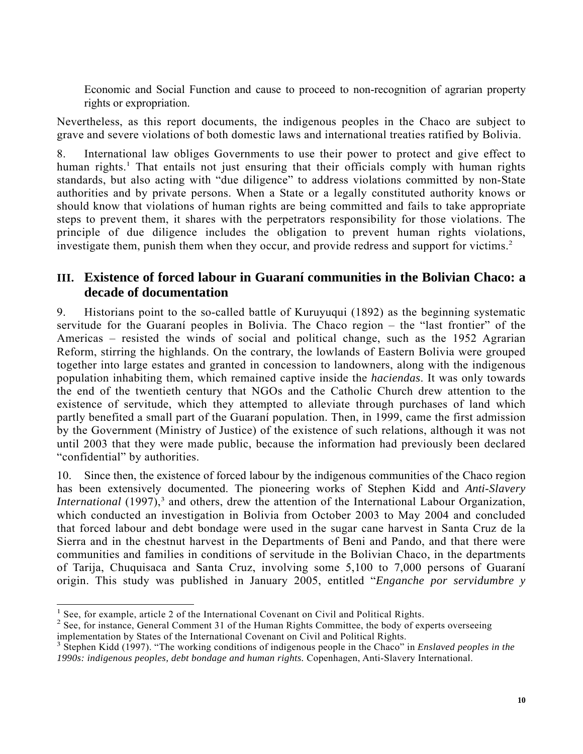Economic and Social Function and cause to proceed to non-recognition of agrarian property rights or expropriation.

Nevertheless, as this report documents, the indigenous peoples in the Chaco are subject to grave and severe violations of both domestic laws and international treaties ratified by Bolivia.

8. International law obliges Governments to use their power to protect and give effect to human rights.<sup>1</sup> That entails not just ensuring that their officials comply with human rights standards, but also acting with "due diligence" to address violations committed by non-State authorities and by private persons. When a State or a legally constituted authority knows or should know that violations of human rights are being committed and fails to take appropriate steps to prevent them, it shares with the perpetrators responsibility for those violations. The principle of due diligence includes the obligation to prevent human rights violations, investigate them, punish them when they occur, and provide redress and support for victims.<sup>2</sup>

# **III. Existence of forced labour in Guaraní communities in the Bolivian Chaco: a decade of documentation**

9. Historians point to the so-called battle of Kuruyuqui (1892) as the beginning systematic servitude for the Guaraní peoples in Bolivia. The Chaco region – the "last frontier" of the Americas – resisted the winds of social and political change, such as the 1952 Agrarian Reform, stirring the highlands. On the contrary, the lowlands of Eastern Bolivia were grouped together into large estates and granted in concession to landowners, along with the indigenous population inhabiting them, which remained captive inside the *haciendas*. It was only towards the end of the twentieth century that NGOs and the Catholic Church drew attention to the existence of servitude, which they attempted to alleviate through purchases of land which partly benefited a small part of the Guaraní population. Then, in 1999, came the first admission by the Government (Ministry of Justice) of the existence of such relations, although it was not until 2003 that they were made public, because the information had previously been declared "confidential" by authorities.

10. Since then, the existence of forced labour by the indigenous communities of the Chaco region has been extensively documented. The pioneering works of Stephen Kidd and *Anti-Slavery International* (1997),<sup>3</sup> and others, drew the attention of the International Labour Organization, which conducted an investigation in Bolivia from October 2003 to May 2004 and concluded that forced labour and debt bondage were used in the sugar cane harvest in Santa Cruz de la Sierra and in the chestnut harvest in the Departments of Beni and Pando, and that there were communities and families in conditions of servitude in the Bolivian Chaco, in the departments of Tarija, Chuquisaca and Santa Cruz, involving some 5,100 to 7,000 persons of Guaraní origin. This study was published in January 2005, entitled "*Enganche por servidumbre y* 

 $\overline{a}$ 

<sup>&</sup>lt;sup>1</sup> See, for example, article 2 of the International Covenant on Civil and Political Rights.

<sup>&</sup>lt;sup>2</sup> See, for instance, General Comment 31 of the Human Rights Committee, the body of experts overseeing implementation by States of the International Covenant on Civil and Political Rights.

<sup>&</sup>lt;sup>3</sup> Stephen Kidd (1997). "The working conditions of indigenous people in the Chaco" in *Enslaved peoples in the 1990s: indigenous peoples, debt bondage and human rights.* Copenhagen, Anti-Slavery International.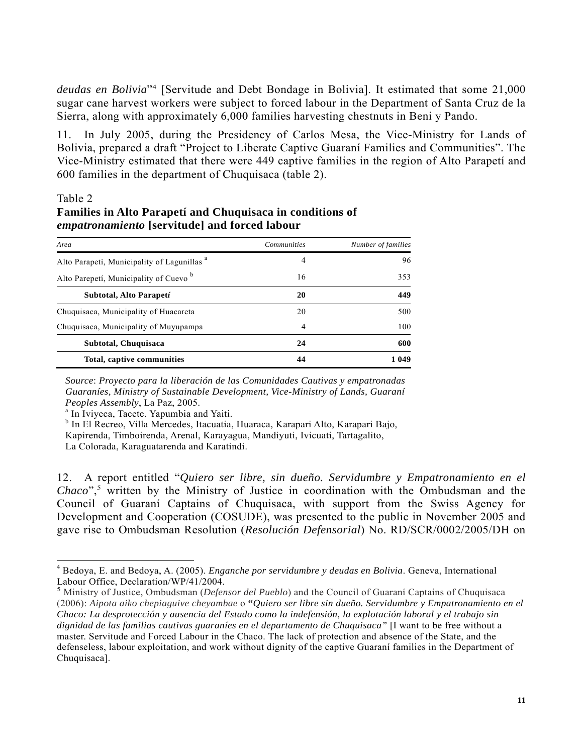*deudas en Bolivia*"<sup>4</sup> [Servitude and Debt Bondage in Bolivia]. It estimated that some 21,000 sugar cane harvest workers were subject to forced labour in the Department of Santa Cruz de la Sierra, along with approximately 6,000 families harvesting chestnuts in Beni y Pando.

11. In July 2005, during the Presidency of Carlos Mesa, the Vice-Ministry for Lands of Bolivia, prepared a draft "Project to Liberate Captive Guaraní Families and Communities". The Vice-Ministry estimated that there were 449 captive families in the region of Alto Parapetí and 600 families in the department of Chuquisaca (table 2).

#### Table 2

 $\overline{a}$ 

## **Families in Alto Parapetí and Chuquisaca in conditions of**  *empatronamiento* **[servitude] and forced labour**

| Area                                                   | <b>Communities</b> | Number of families |
|--------------------------------------------------------|--------------------|--------------------|
| Alto Parapeti, Municipality of Lagunillas <sup>a</sup> | 4                  | 96                 |
| Alto Parepeti, Municipality of Cuevo <sup>b</sup>      | 16                 | 353                |
| Subtotal, Alto Parapetí                                | 20                 | 449                |
| Chuquisaca, Municipality of Huacareta                  | 20                 | 500                |
| Chuquisaca, Municipality of Muyupampa                  | 4                  | 100                |
| Subtotal, Chuquisaca                                   | 24                 | 600                |
| Total, captive communities                             | 44                 | 1 049              |

 *Source*: *Proyecto para la liberación de las Comunidades Cautivas y empatronadas Guaraníes, Ministry of Sustainable Development, Vice-Ministry of Lands, Guaraní Peoples Assembly*, La Paz, 2005.<br><sup>a</sup> In Iviyeca, Tacete. Yapumbia and Yaiti.

b In El Recreo, Villa Mercedes, Itacuatia, Huaraca, Karapari Alto, Karapari Bajo,

Kapirenda, Timboirenda, Arenal, Karayagua, Mandiyuti, Ivicuati, Tartagalito,

La Colorada, Karaguatarenda and Karatindi.

12. A report entitled "*Quiero ser libre, sin dueño. Servidumbre y Empatronamiento en el*  Chaco",<sup>5</sup> written by the Ministry of Justice in coordination with the Ombudsman and the Council of Guaraní Captains of Chuquisaca, with support from the Swiss Agency for Development and Cooperation (COSUDE), was presented to the public in November 2005 and gave rise to Ombudsman Resolution (*Resolución Defensorial*) No. RD/SCR/0002/2005/DH on

<sup>4</sup> Bedoya, E. and Bedoya, A. (2005). *Enganche por servidumbre y deudas en Bolivia*. Geneva, International Labour Office, Declaration/WP/41/2004.

<sup>5</sup> Ministry of Justice, Ombudsman (*Defensor del Pueblo*) and the Council of Guaraní Captains of Chuquisaca (2006): *Aipota aiko chepiaguive cheyambae* o **"***Quiero ser libre sin dueño. Servidumbre y Empatronamiento en el Chaco: La desprotección y ausencia del Estado como la indefensión, la explotación laboral y el trabajo sin dignidad de las familias cautivas guaraníes en el departamento de Chuquisaca"* [I want to be free without a master. Servitude and Forced Labour in the Chaco. The lack of protection and absence of the State, and the defenseless, labour exploitation, and work without dignity of the captive Guaraní families in the Department of Chuquisaca].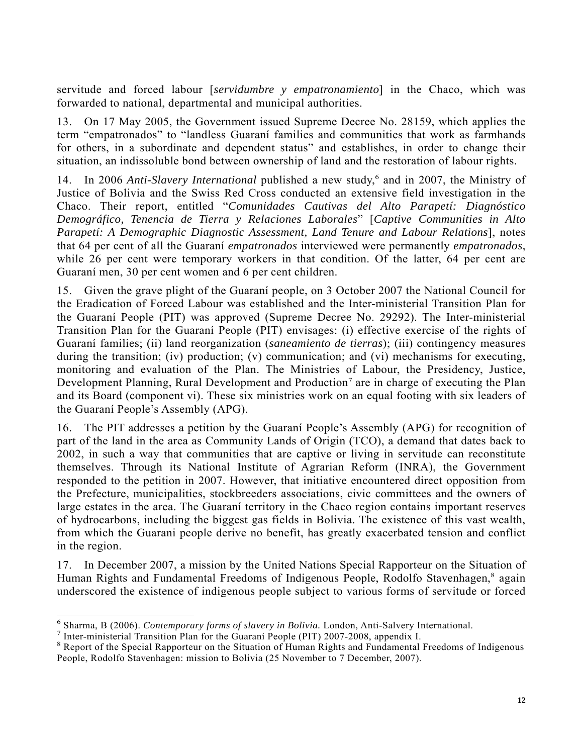servitude and forced labour [*servidumbre y empatronamiento*] in the Chaco, which was forwarded to national, departmental and municipal authorities.

13. On 17 May 2005, the Government issued Supreme Decree No. 28159, which applies the term "empatronados" to "landless Guaraní families and communities that work as farmhands for others, in a subordinate and dependent status" and establishes, in order to change their situation, an indissoluble bond between ownership of land and the restoration of labour rights.

14. In 2006 Anti-Slavery International published a new study,<sup>6</sup> and in 2007, the Ministry of Justice of Bolivia and the Swiss Red Cross conducted an extensive field investigation in the Chaco. Their report, entitled "*Comunidades Cautivas del Alto Parapetí: Diagnóstico Demográfico, Tenencia de Tierra y Relaciones Laborales*" [*Captive Communities in Alto Parapetí: A Demographic Diagnostic Assessment, Land Tenure and Labour Relations*], notes that 64 per cent of all the Guaraní *empatronados* interviewed were permanently *empatronados*, while 26 per cent were temporary workers in that condition. Of the latter, 64 per cent are Guaraní men, 30 per cent women and 6 per cent children.

15. Given the grave plight of the Guaraní people, on 3 October 2007 the National Council for the Eradication of Forced Labour was established and the Inter-ministerial Transition Plan for the Guaraní People (PIT) was approved (Supreme Decree No. 29292). The Inter-ministerial Transition Plan for the Guaraní People (PIT) envisages: (i) effective exercise of the rights of Guaraní families; (ii) land reorganization (*saneamiento de tierras*); (iii) contingency measures during the transition; (iv) production; (v) communication; and (vi) mechanisms for executing, monitoring and evaluation of the Plan. The Ministries of Labour, the Presidency, Justice, Development Planning, Rural Development and Production<sup>7</sup> are in charge of executing the Plan and its Board (component vi). These six ministries work on an equal footing with six leaders of the Guaraní People's Assembly (APG).

16. The PIT addresses a petition by the Guaraní People's Assembly (APG) for recognition of part of the land in the area as Community Lands of Origin (TCO), a demand that dates back to 2002, in such a way that communities that are captive or living in servitude can reconstitute themselves. Through its National Institute of Agrarian Reform (INRA), the Government responded to the petition in 2007. However, that initiative encountered direct opposition from the Prefecture, municipalities, stockbreeders associations, civic committees and the owners of large estates in the area. The Guaraní territory in the Chaco region contains important reserves of hydrocarbons, including the biggest gas fields in Bolivia. The existence of this vast wealth, from which the Guarani people derive no benefit, has greatly exacerbated tension and conflict in the region.

17. In December 2007, a mission by the United Nations Special Rapporteur on the Situation of Human Rights and Fundamental Freedoms of Indigenous People, Rodolfo Stavenhagen,<sup>8</sup> again underscored the existence of indigenous people subject to various forms of servitude or forced

<sup>&</sup>lt;sup>6</sup> Sharma, B (2006). *Contemporary forms of slavery in Bolivia*. London, Anti-Salvery International.<br><sup>7</sup> Inter ministerial Transition Plan for the Guarani Beople (PIT) 2007-2008, appendix I

 $<sup>7</sup>$  Inter-ministerial Transition Plan for the Guaraní People (PIT) 2007-2008, appendix I.</sup>

<sup>&</sup>lt;sup>8</sup> Report of the Special Rapporteur on the Situation of Human Rights and Fundamental Freedoms of Indigenous People, Rodolfo Stavenhagen: mission to Bolivia (25 November to 7 December, 2007).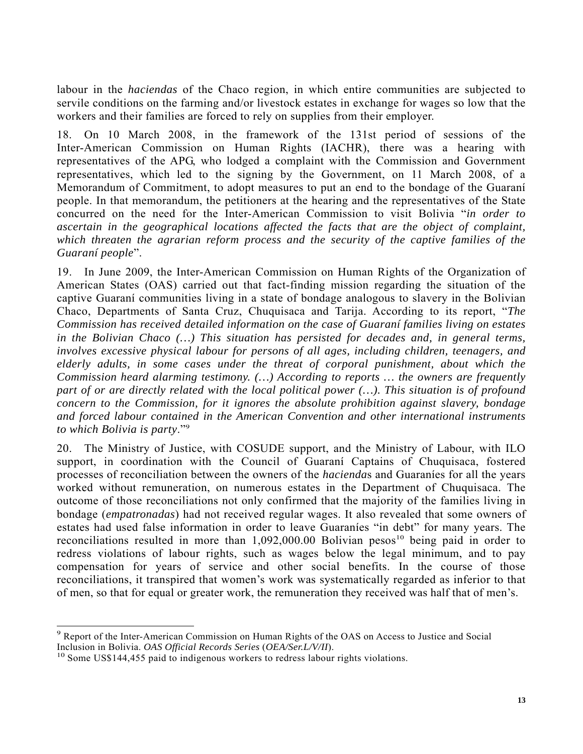labour in the *haciendas* of the Chaco region, in which entire communities are subjected to servile conditions on the farming and/or livestock estates in exchange for wages so low that the workers and their families are forced to rely on supplies from their employer.

18. On 10 March 2008, in the framework of the 131st period of sessions of the Inter-American Commission on Human Rights (IACHR), there was a hearing with representatives of the APG, who lodged a complaint with the Commission and Government representatives, which led to the signing by the Government, on 11 March 2008, of a Memorandum of Commitment, to adopt measures to put an end to the bondage of the Guaraní people. In that memorandum, the petitioners at the hearing and the representatives of the State concurred on the need for the Inter-American Commission to visit Bolivia "*in order to ascertain in the geographical locations affected the facts that are the object of complaint, which threaten the agrarian reform process and the security of the captive families of the Guaraní people*".

19. In June 2009, the Inter-American Commission on Human Rights of the Organization of American States (OAS) carried out that fact-finding mission regarding the situation of the captive Guaraní communities living in a state of bondage analogous to slavery in the Bolivian Chaco, Departments of Santa Cruz, Chuquisaca and Tarija. According to its report, "*The Commission has received detailed information on the case of Guaraní families living on estates in the Bolivian Chaco (…) This situation has persisted for decades and, in general terms, involves excessive physical labour for persons of all ages, including children, teenagers, and elderly adults, in some cases under the threat of corporal punishment, about which the Commission heard alarming testimony. (…) According to reports … the owners are frequently*  part of or are directly related with the local political power (...). This situation is of profound *concern to the Commission, for it ignores the absolute prohibition against slavery, bondage and forced labour contained in the American Convention and other international instruments to which Bolivia is party*."<sup>9</sup>

20. The Ministry of Justice, with COSUDE support, and the Ministry of Labour, with ILO support, in coordination with the Council of Guaraní Captains of Chuquisaca, fostered processes of reconciliation between the owners of the *hacienda*s and Guaraníes for all the years worked without remuneration, on numerous estates in the Department of Chuquisaca. The outcome of those reconciliations not only confirmed that the majority of the families living in bondage (*empatronadas*) had not received regular wages. It also revealed that some owners of estates had used false information in order to leave Guaraníes "in debt" for many years. The reconciliations resulted in more than  $1,092,000.00$  Bolivian pesos<sup>10</sup> being paid in order to redress violations of labour rights, such as wages below the legal minimum, and to pay compensation for years of service and other social benefits. In the course of those reconciliations, it transpired that women's work was systematically regarded as inferior to that of men, so that for equal or greater work, the remuneration they received was half that of men's.

 $\overline{a}$ 

<sup>&</sup>lt;sup>9</sup> Report of the Inter-American Commission on Human Rights of the OAS on Access to Justice and Social Inclusion in Bolivia. *OAS Official Records Series (OEA/Ser.L/V/II*).<br><sup>10</sup> Some US\$144,455 paid to indigenous workers to redress labour rights violations.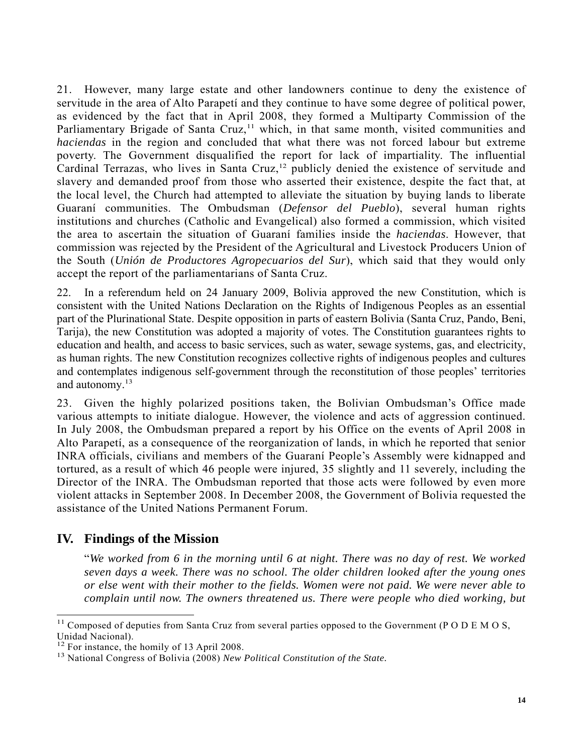21. However, many large estate and other landowners continue to deny the existence of servitude in the area of Alto Parapetí and they continue to have some degree of political power, as evidenced by the fact that in April 2008, they formed a Multiparty Commission of the Parliamentary Brigade of Santa Cruz,<sup>11</sup> which, in that same month, visited communities and *haciendas* in the region and concluded that what there was not forced labour but extreme poverty. The Government disqualified the report for lack of impartiality. The influential Cardinal Terrazas, who lives in Santa Cruz,<sup>12</sup> publicly denied the existence of servitude and slavery and demanded proof from those who asserted their existence, despite the fact that, at the local level, the Church had attempted to alleviate the situation by buying lands to liberate Guaraní communities. The Ombudsman (*Defensor del Pueblo*), several human rights institutions and churches (Catholic and Evangelical) also formed a commission, which visited the area to ascertain the situation of Guaraní families inside the *haciendas*. However, that commission was rejected by the President of the Agricultural and Livestock Producers Union of the South (*Unión de Productores Agropecuarios del Sur*), which said that they would only accept the report of the parliamentarians of Santa Cruz.

22. In a referendum held on 24 January 2009, Bolivia approved the new Constitution, which is consistent with the United Nations Declaration on the Rights of Indigenous Peoples as an essential part of the Plurinational State. Despite opposition in parts of eastern Bolivia (Santa Cruz, Pando, Beni, Tarija), the new Constitution was adopted a majority of votes. The Constitution guarantees rights to education and health, and access to basic services, such as water, sewage systems, gas, and electricity, as human rights. The new Constitution recognizes collective rights of indigenous peoples and cultures and contemplates indigenous self-government through the reconstitution of those peoples' territories and autonomy.<sup>13</sup>

23. Given the highly polarized positions taken, the Bolivian Ombudsman's Office made various attempts to initiate dialogue. However, the violence and acts of aggression continued. In July 2008, the Ombudsman prepared a report by his Office on the events of April 2008 in Alto Parapetí, as a consequence of the reorganization of lands, in which he reported that senior INRA officials, civilians and members of the Guaraní People's Assembly were kidnapped and tortured, as a result of which 46 people were injured, 35 slightly and 11 severely, including the Director of the INRA. The Ombudsman reported that those acts were followed by even more violent attacks in September 2008. In December 2008, the Government of Bolivia requested the assistance of the United Nations Permanent Forum.

# **IV. Findings of the Mission**

"*We worked from 6 in the morning until 6 at night. There was no day of rest. We worked seven days a week. There was no school. The older children looked after the young ones or else went with their mother to the fields. Women were not paid. We were never able to complain until now. The owners threatened us. There were people who died working, but* 

l  $11$  Composed of deputies from Santa Cruz from several parties opposed to the Government (PODEMOS, Unidad Nacional).<br><sup>12</sup> For instance, the homily of 13 April 2008.

<sup>&</sup>lt;sup>13</sup> National Congress of Bolivia (2008) *New Political Constitution of the State*.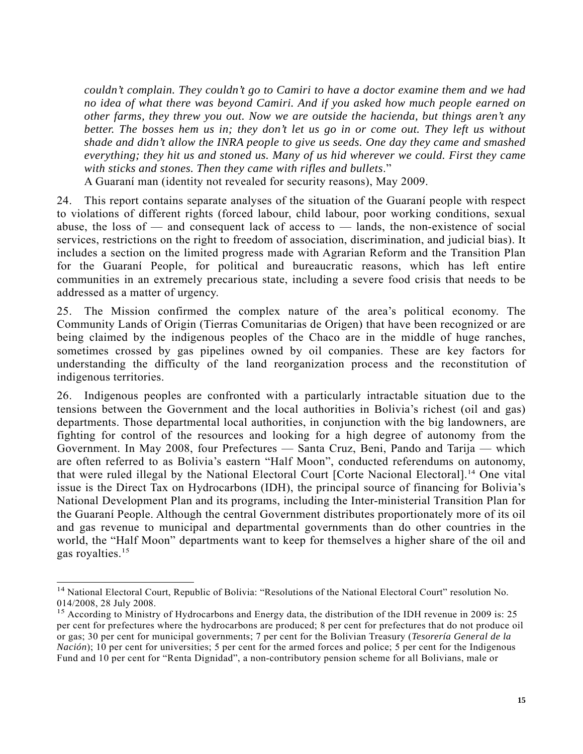*couldn't complain. They couldn't go to Camiri to have a doctor examine them and we had no idea of what there was beyond Camiri. And if you asked how much people earned on other farms, they threw you out. Now we are outside the hacienda, but things aren't any better. The bosses hem us in; they don't let us go in or come out. They left us without shade and didn't allow the INRA people to give us seeds. One day they came and smashed everything; they hit us and stoned us. Many of us hid wherever we could. First they came with sticks and stones. Then they came with rifles and bullets*."

A Guaraní man (identity not revealed for security reasons), May 2009.

24. This report contains separate analyses of the situation of the Guaraní people with respect to violations of different rights (forced labour, child labour, poor working conditions, sexual abuse, the loss of  $-$  and consequent lack of access to  $-$  lands, the non-existence of social services, restrictions on the right to freedom of association, discrimination, and judicial bias). It includes a section on the limited progress made with Agrarian Reform and the Transition Plan for the Guaraní People, for political and bureaucratic reasons, which has left entire communities in an extremely precarious state, including a severe food crisis that needs to be addressed as a matter of urgency.

25. The Mission confirmed the complex nature of the area's political economy. The Community Lands of Origin (Tierras Comunitarias de Origen) that have been recognized or are being claimed by the indigenous peoples of the Chaco are in the middle of huge ranches, sometimes crossed by gas pipelines owned by oil companies. These are key factors for understanding the difficulty of the land reorganization process and the reconstitution of indigenous territories.

26. Indigenous peoples are confronted with a particularly intractable situation due to the tensions between the Government and the local authorities in Bolivia's richest (oil and gas) departments. Those departmental local authorities, in conjunction with the big landowners, are fighting for control of the resources and looking for a high degree of autonomy from the Government. In May 2008, four Prefectures — Santa Cruz, Beni, Pando and Tarija — which are often referred to as Bolivia's eastern "Half Moon", conducted referendums on autonomy, that were ruled illegal by the National Electoral Court [Corte Nacional Electoral].14 One vital issue is the Direct Tax on Hydrocarbons (IDH), the principal source of financing for Bolivia's National Development Plan and its programs, including the Inter-ministerial Transition Plan for the Guaraní People. Although the central Government distributes proportionately more of its oil and gas revenue to municipal and departmental governments than do other countries in the world, the "Half Moon" departments want to keep for themselves a higher share of the oil and gas royalties.<sup>15</sup>

l

<sup>&</sup>lt;sup>14</sup> National Electoral Court, Republic of Bolivia: "Resolutions of the National Electoral Court" resolution No. 014/2008, 28 July 2008.

<sup>&</sup>lt;sup>15</sup> According to Ministry of Hydrocarbons and Energy data, the distribution of the IDH revenue in 2009 is: 25 per cent for prefectures where the hydrocarbons are produced; 8 per cent for prefectures that do not produce oil or gas; 30 per cent for municipal governments; 7 per cent for the Bolivian Treasury (*Tesorería General de la Nación*); 10 per cent for universities; 5 per cent for the armed forces and police; 5 per cent for the Indigenous Fund and 10 per cent for "Renta Dignidad", a non-contributory pension scheme for all Bolivians, male or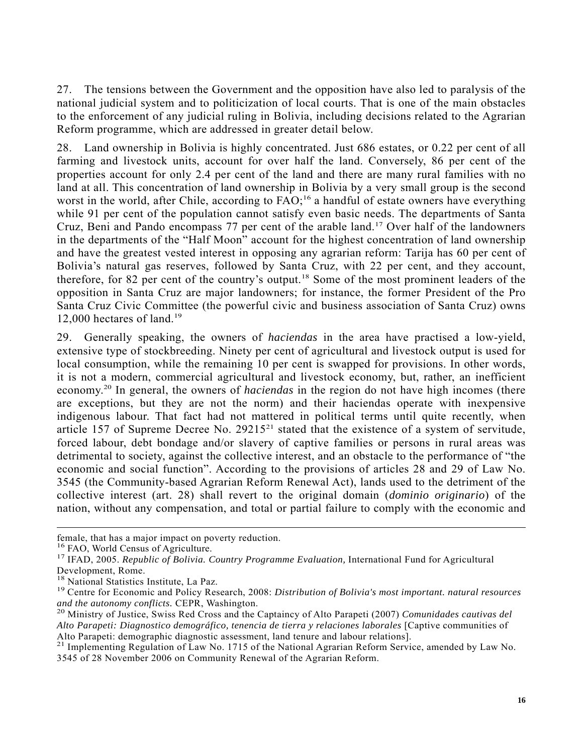27. The tensions between the Government and the opposition have also led to paralysis of the national judicial system and to politicization of local courts. That is one of the main obstacles to the enforcement of any judicial ruling in Bolivia, including decisions related to the Agrarian Reform programme, which are addressed in greater detail below.

28. Land ownership in Bolivia is highly concentrated. Just 686 estates, or 0.22 per cent of all farming and livestock units, account for over half the land. Conversely, 86 per cent of the properties account for only 2.4 per cent of the land and there are many rural families with no land at all. This concentration of land ownership in Bolivia by a very small group is the second worst in the world, after Chile, according to FAO;<sup>16</sup> a handful of estate owners have everything while 91 per cent of the population cannot satisfy even basic needs. The departments of Santa Cruz, Beni and Pando encompass 77 per cent of the arable land.17 Over half of the landowners in the departments of the "Half Moon" account for the highest concentration of land ownership and have the greatest vested interest in opposing any agrarian reform: Tarija has 60 per cent of Bolivia's natural gas reserves, followed by Santa Cruz, with 22 per cent, and they account, therefore, for 82 per cent of the country's output.18 Some of the most prominent leaders of the opposition in Santa Cruz are major landowners; for instance, the former President of the Pro Santa Cruz Civic Committee (the powerful civic and business association of Santa Cruz) owns 12,000 hectares of land.<sup>19</sup>

29. Generally speaking, the owners of *haciendas* in the area have practised a low-yield, extensive type of stockbreeding. Ninety per cent of agricultural and livestock output is used for local consumption, while the remaining 10 per cent is swapped for provisions. In other words, it is not a modern, commercial agricultural and livestock economy, but, rather, an inefficient economy.20 In general, the owners of *haciendas* in the region do not have high incomes (there are exceptions, but they are not the norm) and their haciendas operate with inexpensive indigenous labour. That fact had not mattered in political terms until quite recently, when article 157 of Supreme Decree No.  $29215^{21}$  stated that the existence of a system of servitude, forced labour, debt bondage and/or slavery of captive families or persons in rural areas was detrimental to society, against the collective interest, and an obstacle to the performance of "the economic and social function". According to the provisions of articles 28 and 29 of Law No. 3545 (the Community-based Agrarian Reform Renewal Act), lands used to the detriment of the collective interest (art. 28) shall revert to the original domain (*dominio originario*) of the nation, without any compensation, and total or partial failure to comply with the economic and

 $\overline{a}$ 

female, that has a major impact on poverty reduction.<br><sup>16</sup> FAO, World Census of Agriculture.

<sup>&</sup>lt;sup>17</sup> IFAD, 2005. *Republic of Bolivia. Country Programme Evaluation*, International Fund for Agricultural Development, Rome.<br><sup>18</sup> National Statistics Institute, La Paz.

<sup>&</sup>lt;sup>19</sup> Centre for Economic and Policy Research, 2008: *Distribution of Bolivia's most important. natural resources and the autonomy conflicts.* CEPR, Washington. 20 Ministry of Justice, Swiss Red Cross and the Captaincy of Alto Parapeti (2007) *Comunidades cautivas del* 

*Alto Parapeti: Diagnostico demográfico, tenencia de tierra y relaciones laborales* [Captive communities of

Alto Parapeti: demographic diagnostic assessment, land tenure and labour relations].<br><sup>21</sup> Implementing Regulation of Law No. 1715 of the National Agrarian Reform Service, amended by Law No. 3545 of 28 November 2006 on Community Renewal of the Agrarian Reform.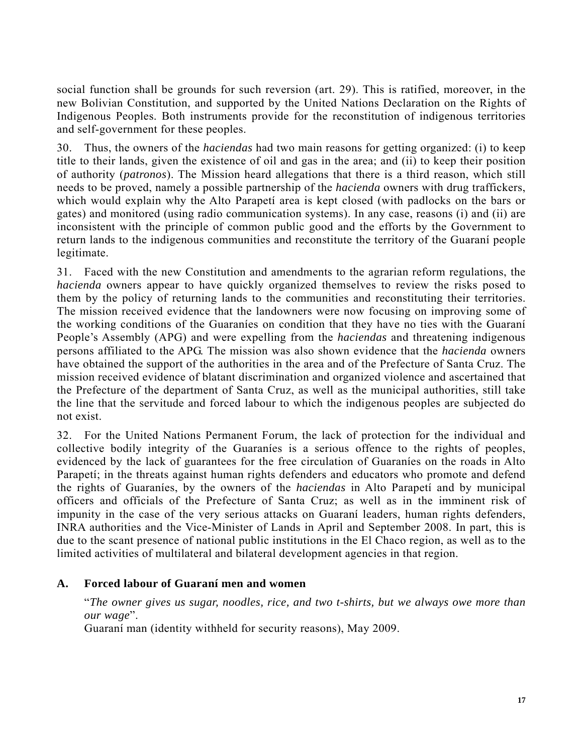social function shall be grounds for such reversion (art. 29). This is ratified, moreover, in the new Bolivian Constitution, and supported by the United Nations Declaration on the Rights of Indigenous Peoples. Both instruments provide for the reconstitution of indigenous territories and self-government for these peoples.

30. Thus, the owners of the *haciendas* had two main reasons for getting organized: (i) to keep title to their lands, given the existence of oil and gas in the area; and (ii) to keep their position of authority (*patronos*). The Mission heard allegations that there is a third reason, which still needs to be proved, namely a possible partnership of the *hacienda* owners with drug traffickers, which would explain why the Alto Parapetí area is kept closed (with padlocks on the bars or gates) and monitored (using radio communication systems). In any case, reasons (i) and (ii) are inconsistent with the principle of common public good and the efforts by the Government to return lands to the indigenous communities and reconstitute the territory of the Guaraní people legitimate.

31. Faced with the new Constitution and amendments to the agrarian reform regulations, the *hacienda* owners appear to have quickly organized themselves to review the risks posed to them by the policy of returning lands to the communities and reconstituting their territories. The mission received evidence that the landowners were now focusing on improving some of the working conditions of the Guaraníes on condition that they have no ties with the Guaraní People's Assembly (APG) and were expelling from the *haciendas* and threatening indigenous persons affiliated to the APG. The mission was also shown evidence that the *hacienda* owners have obtained the support of the authorities in the area and of the Prefecture of Santa Cruz. The mission received evidence of blatant discrimination and organized violence and ascertained that the Prefecture of the department of Santa Cruz, as well as the municipal authorities, still take the line that the servitude and forced labour to which the indigenous peoples are subjected do not exist.

32. For the United Nations Permanent Forum, the lack of protection for the individual and collective bodily integrity of the Guaraníes is a serious offence to the rights of peoples, evidenced by the lack of guarantees for the free circulation of Guaraníes on the roads in Alto Parapetí; in the threats against human rights defenders and educators who promote and defend the rights of Guaraníes, by the owners of the *haciendas* in Alto Parapetí and by municipal officers and officials of the Prefecture of Santa Cruz; as well as in the imminent risk of impunity in the case of the very serious attacks on Guaraní leaders, human rights defenders, INRA authorities and the Vice-Minister of Lands in April and September 2008. In part, this is due to the scant presence of national public institutions in the El Chaco region, as well as to the limited activities of multilateral and bilateral development agencies in that region.

#### **A. Forced labour of Guaraní men and women**

"*The owner gives us sugar, noodles, rice, and two t-shirts, but we always owe more than our wage*".

Guaraní man (identity withheld for security reasons), May 2009.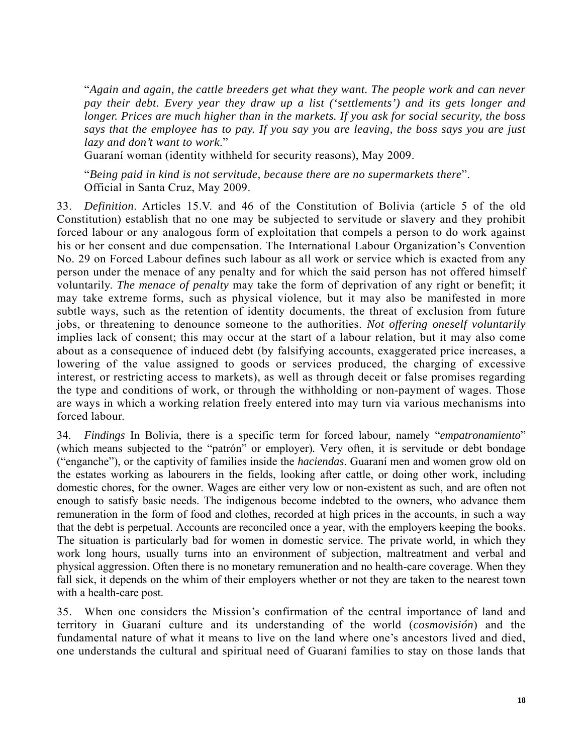"*Again and again, the cattle breeders get what they want. The people work and can never pay their debt. Every year they draw up a list ('settlements') and its gets longer and longer. Prices are much higher than in the markets. If you ask for social security, the boss says that the employee has to pay. If you say you are leaving, the boss says you are just lazy and don't want to work*."

Guaraní woman (identity withheld for security reasons), May 2009.

"*Being paid in kind is not servitude, because there are no supermarkets there*". Official in Santa Cruz, May 2009.

33. *Definition*. Articles 15.V. and 46 of the Constitution of Bolivia (article 5 of the old Constitution) establish that no one may be subjected to servitude or slavery and they prohibit forced labour or any analogous form of exploitation that compels a person to do work against his or her consent and due compensation. The International Labour Organization's Convention No. 29 on Forced Labour defines such labour as all work or service which is exacted from any person under the menace of any penalty and for which the said person has not offered himself voluntarily. *The menace of penalty* may take the form of deprivation of any right or benefit; it may take extreme forms, such as physical violence, but it may also be manifested in more subtle ways, such as the retention of identity documents, the threat of exclusion from future jobs, or threatening to denounce someone to the authorities. *Not offering oneself voluntarily*  implies lack of consent; this may occur at the start of a labour relation, but it may also come about as a consequence of induced debt (by falsifying accounts, exaggerated price increases, a lowering of the value assigned to goods or services produced, the charging of excessive interest, or restricting access to markets), as well as through deceit or false promises regarding the type and conditions of work, or through the withholding or non-payment of wages. Those are ways in which a working relation freely entered into may turn via various mechanisms into forced labour.

34. *Findings* In Bolivia, there is a specific term for forced labour, namely "*empatronamiento*" (which means subjected to the "patrón" or employer)*.* Very often, it is servitude or debt bondage ("enganche"), or the captivity of families inside the *haciendas*. Guaraní men and women grow old on the estates working as labourers in the fields, looking after cattle, or doing other work, including domestic chores, for the owner. Wages are either very low or non-existent as such, and are often not enough to satisfy basic needs. The indigenous become indebted to the owners, who advance them remuneration in the form of food and clothes, recorded at high prices in the accounts, in such a way that the debt is perpetual. Accounts are reconciled once a year, with the employers keeping the books. The situation is particularly bad for women in domestic service. The private world, in which they work long hours, usually turns into an environment of subjection, maltreatment and verbal and physical aggression. Often there is no monetary remuneration and no health-care coverage. When they fall sick, it depends on the whim of their employers whether or not they are taken to the nearest town with a health-care post.

35. When one considers the Mission's confirmation of the central importance of land and territory in Guaraní culture and its understanding of the world (*cosmovisión*) and the fundamental nature of what it means to live on the land where one's ancestors lived and died, one understands the cultural and spiritual need of Guaraní families to stay on those lands that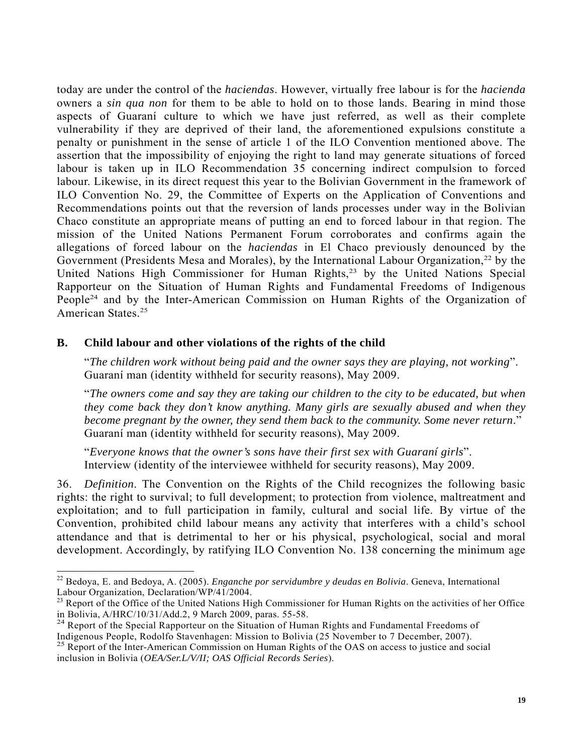today are under the control of the *haciendas*. However, virtually free labour is for the *hacienda* owners a *sin qua non* for them to be able to hold on to those lands. Bearing in mind those aspects of Guaraní culture to which we have just referred, as well as their complete vulnerability if they are deprived of their land, the aforementioned expulsions constitute a penalty or punishment in the sense of article 1 of the ILO Convention mentioned above. The assertion that the impossibility of enjoying the right to land may generate situations of forced labour is taken up in ILO Recommendation 35 concerning indirect compulsion to forced labour. Likewise, in its direct request this year to the Bolivian Government in the framework of ILO Convention No. 29, the Committee of Experts on the Application of Conventions and Recommendations points out that the reversion of lands processes under way in the Bolivian Chaco constitute an appropriate means of putting an end to forced labour in that region. The mission of the United Nations Permanent Forum corroborates and confirms again the allegations of forced labour on the *haciendas* in El Chaco previously denounced by the Government (Presidents Mesa and Morales), by the International Labour Organization,<sup>22</sup> by the United Nations High Commissioner for Human Rights,<sup>23</sup> by the United Nations Special Rapporteur on the Situation of Human Rights and Fundamental Freedoms of Indigenous People<sup>24</sup> and by the Inter-American Commission on Human Rights of the Organization of American States.<sup>25</sup>

#### **B. Child labour and other violations of the rights of the child**

 $\overline{a}$ 

"*The children work without being paid and the owner says they are playing, not working*". Guaraní man (identity withheld for security reasons), May 2009.

"*The owners come and say they are taking our children to the city to be educated, but when they come back they don't know anything. Many girls are sexually abused and when they become pregnant by the owner, they send them back to the community. Some never return*." Guaraní man (identity withheld for security reasons), May 2009.

"*Everyone knows that the owner's sons have their first sex with Guaraní girls*". Interview (identity of the interviewee withheld for security reasons), May 2009.

36. *Definition*. The Convention on the Rights of the Child recognizes the following basic rights: the right to survival; to full development; to protection from violence, maltreatment and exploitation; and to full participation in family, cultural and social life. By virtue of the Convention, prohibited child labour means any activity that interferes with a child's school attendance and that is detrimental to her or his physical, psychological, social and moral development. Accordingly, by ratifying ILO Convention No. 138 concerning the minimum age

<sup>22</sup> Bedoya, E. and Bedoya, A. (2005). *Enganche por servidumbre y deudas en Bolivia*. Geneva, International Labour Organization, Declaration/WP/41/2004.

<sup>&</sup>lt;sup>23</sup> Report of the Office of the United Nations High Commissioner for Human Rights on the activities of her Office in Bolivia, A/HRC/10/31/Add.2, 9 March 2009, paras. 55-58.

<sup>&</sup>lt;sup>24</sup> Report of the Special Rapporteur on the Situation of Human Rights and Fundamental Freedoms of Indigenous People, Rodolfo Stavenhagen: Mission to Bolivia (25 November to 7 December, 2007).

<sup>&</sup>lt;sup>25</sup> Report of the Inter-American Commission on Human Rights of the OAS on access to justice and social inclusion in Bolivia (*OEA/Ser.L/V/II; OAS Official Records Series*).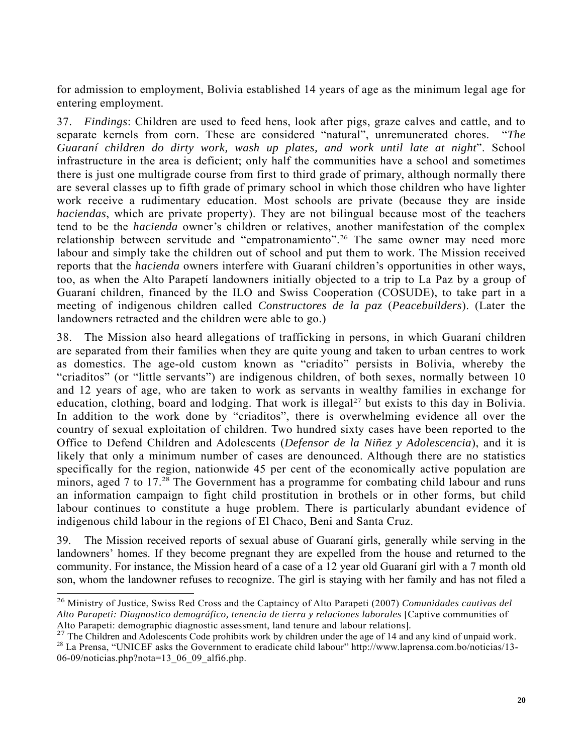for admission to employment, Bolivia established 14 years of age as the minimum legal age for entering employment.

37. *Findings*: Children are used to feed hens, look after pigs, graze calves and cattle, and to separate kernels from corn. These are considered "natural", unremunerated chores. "*The Guaraní children do dirty work, wash up plates, and work until late at night*". School infrastructure in the area is deficient; only half the communities have a school and sometimes there is just one multigrade course from first to third grade of primary, although normally there are several classes up to fifth grade of primary school in which those children who have lighter work receive a rudimentary education. Most schools are private (because they are inside *haciendas*, which are private property). They are not bilingual because most of the teachers tend to be the *hacienda* owner's children or relatives, another manifestation of the complex relationship between servitude and "empatronamiento".<sup>26</sup> The same owner may need more labour and simply take the children out of school and put them to work. The Mission received reports that the *hacienda* owners interfere with Guaraní children's opportunities in other ways, too, as when the Alto Parapetí landowners initially objected to a trip to La Paz by a group of Guaraní children, financed by the ILO and Swiss Cooperation (COSUDE), to take part in a meeting of indigenous children called *Constructores de la paz* (*Peacebuilders*). (Later the landowners retracted and the children were able to go.)

38. The Mission also heard allegations of trafficking in persons, in which Guaraní children are separated from their families when they are quite young and taken to urban centres to work as domestics. The age-old custom known as "criadito" persists in Bolivia, whereby the "criaditos" (or "little servants") are indigenous children, of both sexes, normally between 10 and 12 years of age, who are taken to work as servants in wealthy families in exchange for education, clothing, board and lodging. That work is illegal<sup>27</sup> but exists to this day in Bolivia. In addition to the work done by "criaditos", there is overwhelming evidence all over the country of sexual exploitation of children. Two hundred sixty cases have been reported to the Office to Defend Children and Adolescents (*Defensor de la Niñez y Adolescencia*), and it is likely that only a minimum number of cases are denounced. Although there are no statistics specifically for the region, nationwide 45 per cent of the economically active population are minors, aged 7 to 17.<sup>28</sup> The Government has a programme for combating child labour and runs an information campaign to fight child prostitution in brothels or in other forms, but child labour continues to constitute a huge problem. There is particularly abundant evidence of indigenous child labour in the regions of El Chaco, Beni and Santa Cruz.

39. The Mission received reports of sexual abuse of Guaraní girls, generally while serving in the landowners' homes. If they become pregnant they are expelled from the house and returned to the community. For instance, the Mission heard of a case of a 12 year old Guaraní girl with a 7 month old son, whom the landowner refuses to recognize. The girl is staying with her family and has not filed a

 $\overline{a}$ 

<sup>26</sup> Ministry of Justice, Swiss Red Cross and the Captaincy of Alto Parapeti (2007) *Comunidades cautivas del Alto Parapeti: Diagnostico demográfico, tenencia de tierra y relaciones laborales* [Captive communities of Alto Parapeti: demographic diagnostic assessment, land tenure and labour relations].<br><sup>27</sup> The Children and Adolescents Code prohibits work by children under the age of 14 and any kind of unpaid work.<br><sup>28</sup> La Prensa, "UNIC

 $06-09$ /noticias.php?nota=13\_06\_09\_alfi6.php.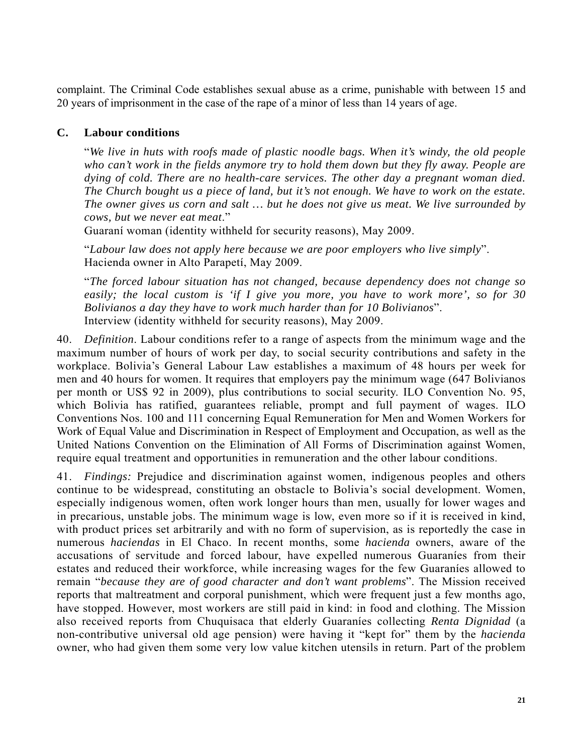complaint. The Criminal Code establishes sexual abuse as a crime, punishable with between 15 and 20 years of imprisonment in the case of the rape of a minor of less than 14 years of age.

#### **C. Labour conditions**

"*We live in huts with roofs made of plastic noodle bags. When it's windy, the old people who can't work in the fields anymore try to hold them down but they fly away. People are dying of cold. There are no health-care services. The other day a pregnant woman died. The Church bought us a piece of land, but it's not enough. We have to work on the estate. The owner gives us corn and salt … but he does not give us meat. We live surrounded by cows, but we never eat meat*."

Guaraní woman (identity withheld for security reasons), May 2009.

"*Labour law does not apply here because we are poor employers who live simply*". Hacienda owner in Alto Parapetí, May 2009.

"*The forced labour situation has not changed, because dependency does not change so easily; the local custom is 'if I give you more, you have to work more', so for 30 Bolivianos a day they have to work much harder than for 10 Bolivianos*". Interview (identity withheld for security reasons), May 2009.

40. *Definition*. Labour conditions refer to a range of aspects from the minimum wage and the maximum number of hours of work per day, to social security contributions and safety in the workplace. Bolivia's General Labour Law establishes a maximum of 48 hours per week for men and 40 hours for women. It requires that employers pay the minimum wage (647 Bolivianos per month or US\$ 92 in 2009), plus contributions to social security. ILO Convention No. 95, which Bolivia has ratified, guarantees reliable, prompt and full payment of wages. ILO Conventions Nos. 100 and 111 concerning Equal Remuneration for Men and Women Workers for Work of Equal Value and Discrimination in Respect of Employment and Occupation, as well as the United Nations Convention on the Elimination of All Forms of Discrimination against Women, require equal treatment and opportunities in remuneration and the other labour conditions.

41. *Findings:* Prejudice and discrimination against women, indigenous peoples and others continue to be widespread, constituting an obstacle to Bolivia's social development. Women, especially indigenous women, often work longer hours than men, usually for lower wages and in precarious, unstable jobs. The minimum wage is low, even more so if it is received in kind, with product prices set arbitrarily and with no form of supervision, as is reportedly the case in numerous *haciendas* in El Chaco. In recent months, some *hacienda* owners, aware of the accusations of servitude and forced labour, have expelled numerous Guaraníes from their estates and reduced their workforce, while increasing wages for the few Guaraníes allowed to remain "*because they are of good character and don't want problems*". The Mission received reports that maltreatment and corporal punishment, which were frequent just a few months ago, have stopped. However, most workers are still paid in kind: in food and clothing. The Mission also received reports from Chuquisaca that elderly Guaraníes collecting *Renta Dignidad* (a non-contributive universal old age pension) were having it "kept for" them by the *hacienda* owner, who had given them some very low value kitchen utensils in return. Part of the problem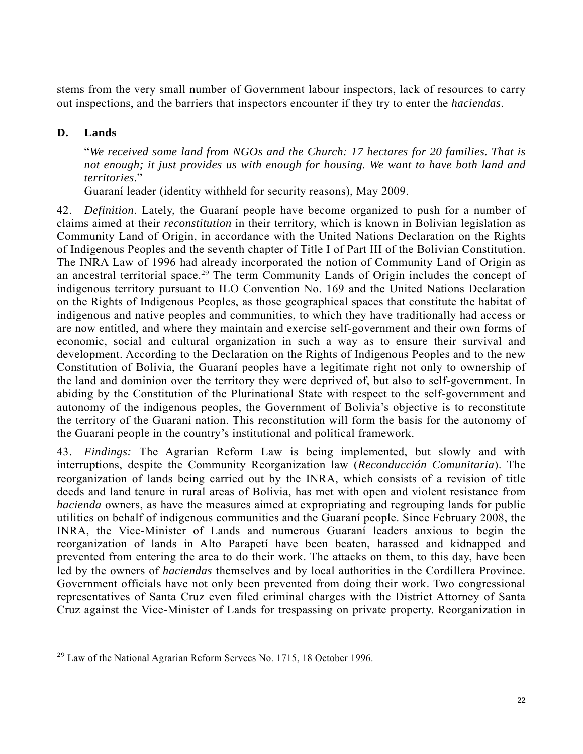stems from the very small number of Government labour inspectors, lack of resources to carry out inspections, and the barriers that inspectors encounter if they try to enter the *haciendas*.

## **D. Lands**

l

"*We received some land from NGOs and the Church: 17 hectares for 20 families. That is not enough; it just provides us with enough for housing. We want to have both land and territories*."

Guaraní leader (identity withheld for security reasons), May 2009.

42. *Definition*. Lately, the Guaraní people have become organized to push for a number of claims aimed at their *reconstitution* in their territory, which is known in Bolivian legislation as Community Land of Origin, in accordance with the United Nations Declaration on the Rights of Indigenous Peoples and the seventh chapter of Title I of Part III of the Bolivian Constitution. The INRA Law of 1996 had already incorporated the notion of Community Land of Origin as an ancestral territorial space.<sup>29</sup> The term Community Lands of Origin includes the concept of indigenous territory pursuant to ILO Convention No. 169 and the United Nations Declaration on the Rights of Indigenous Peoples, as those geographical spaces that constitute the habitat of indigenous and native peoples and communities, to which they have traditionally had access or are now entitled, and where they maintain and exercise self-government and their own forms of economic, social and cultural organization in such a way as to ensure their survival and development. According to the Declaration on the Rights of Indigenous Peoples and to the new Constitution of Bolivia, the Guaraní peoples have a legitimate right not only to ownership of the land and dominion over the territory they were deprived of, but also to self-government. In abiding by the Constitution of the Plurinational State with respect to the self-government and autonomy of the indigenous peoples, the Government of Bolivia's objective is to reconstitute the territory of the Guaraní nation. This reconstitution will form the basis for the autonomy of the Guaraní people in the country's institutional and political framework.

43. *Findings:* The Agrarian Reform Law is being implemented, but slowly and with interruptions, despite the Community Reorganization law (*Reconducción Comunitaria*). The reorganization of lands being carried out by the INRA, which consists of a revision of title deeds and land tenure in rural areas of Bolivia, has met with open and violent resistance from *hacienda* owners, as have the measures aimed at expropriating and regrouping lands for public utilities on behalf of indigenous communities and the Guaraní people. Since February 2008, the INRA, the Vice-Minister of Lands and numerous Guaraní leaders anxious to begin the reorganization of lands in Alto Parapetí have been beaten, harassed and kidnapped and prevented from entering the area to do their work. The attacks on them, to this day, have been led by the owners of *haciendas* themselves and by local authorities in the Cordillera Province. Government officials have not only been prevented from doing their work. Two congressional representatives of Santa Cruz even filed criminal charges with the District Attorney of Santa Cruz against the Vice-Minister of Lands for trespassing on private property. Reorganization in

<sup>&</sup>lt;sup>29</sup> Law of the National Agrarian Reform Servces No. 1715, 18 October 1996.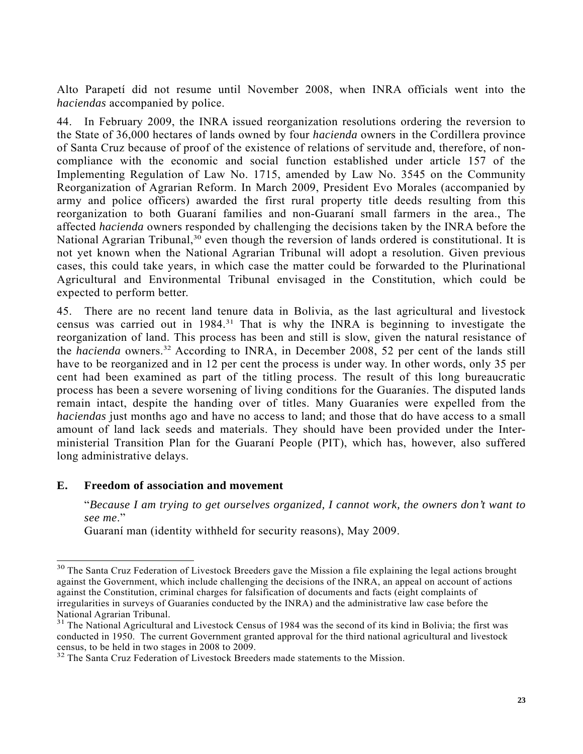Alto Parapetí did not resume until November 2008, when INRA officials went into the *haciendas* accompanied by police.

44. In February 2009, the INRA issued reorganization resolutions ordering the reversion to the State of 36,000 hectares of lands owned by four *hacienda* owners in the Cordillera province of Santa Cruz because of proof of the existence of relations of servitude and, therefore, of noncompliance with the economic and social function established under article 157 of the Implementing Regulation of Law No. 1715, amended by Law No. 3545 on the Community Reorganization of Agrarian Reform. In March 2009, President Evo Morales (accompanied by army and police officers) awarded the first rural property title deeds resulting from this reorganization to both Guaraní families and non-Guaraní small farmers in the area., The affected *hacienda* owners responded by challenging the decisions taken by the INRA before the National Agrarian Tribunal,<sup>30</sup> even though the reversion of lands ordered is constitutional. It is not yet known when the National Agrarian Tribunal will adopt a resolution. Given previous cases, this could take years, in which case the matter could be forwarded to the Plurinational Agricultural and Environmental Tribunal envisaged in the Constitution, which could be expected to perform better.

45. There are no recent land tenure data in Bolivia, as the last agricultural and livestock census was carried out in 1984.31 That is why the INRA is beginning to investigate the reorganization of land. This process has been and still is slow, given the natural resistance of the *hacienda* owners.<sup>32</sup> According to INRA, in December 2008, 52 per cent of the lands still have to be reorganized and in 12 per cent the process is under way. In other words, only 35 per cent had been examined as part of the titling process. The result of this long bureaucratic process has been a severe worsening of living conditions for the Guaraníes. The disputed lands remain intact, despite the handing over of titles. Many Guaraníes were expelled from the *haciendas* just months ago and have no access to land; and those that do have access to a small amount of land lack seeds and materials. They should have been provided under the Interministerial Transition Plan for the Guaraní People (PIT), which has, however, also suffered long administrative delays.

### **E. Freedom of association and movement**

 $\overline{a}$ 

"*Because I am trying to get ourselves organized, I cannot work, the owners don't want to see me*."

Guaraní man (identity withheld for security reasons), May 2009.

<sup>&</sup>lt;sup>30</sup> The Santa Cruz Federation of Livestock Breeders gave the Mission a file explaining the legal actions brought against the Government, which include challenging the decisions of the INRA, an appeal on account of actions against the Constitution, criminal charges for falsification of documents and facts (eight complaints of irregularities in surveys of Guaraníes conducted by the INRA) and the administrative law case before the National Agrarian Tribunal.

<sup>&</sup>lt;sup>31</sup> The National Agricultural and Livestock Census of 1984 was the second of its kind in Bolivia; the first was conducted in 1950. The current Government granted approval for the third national agricultural and livestock census, to be held in two stages in 2008 to 2009.

<sup>&</sup>lt;sup>32</sup> The Santa Cruz Federation of Livestock Breeders made statements to the Mission.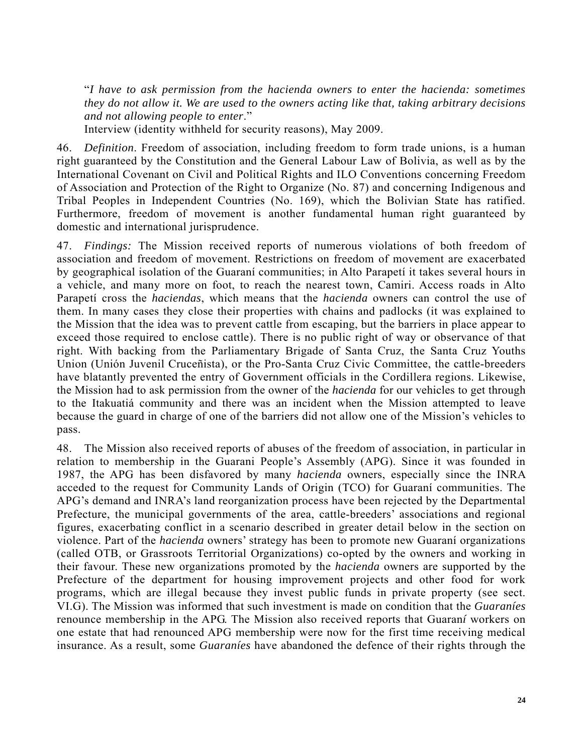"*I have to ask permission from the hacienda owners to enter the hacienda: sometimes they do not allow it. We are used to the owners acting like that, taking arbitrary decisions and not allowing people to enter*."

Interview (identity withheld for security reasons), May 2009.

46. *Definition*. Freedom of association, including freedom to form trade unions, is a human right guaranteed by the Constitution and the General Labour Law of Bolivia, as well as by the International Covenant on Civil and Political Rights and ILO Conventions concerning Freedom of Association and Protection of the Right to Organize (No. 87) and concerning Indigenous and Tribal Peoples in Independent Countries (No. 169), which the Bolivian State has ratified. Furthermore, freedom of movement is another fundamental human right guaranteed by domestic and international jurisprudence.

47. *Findings:* The Mission received reports of numerous violations of both freedom of association and freedom of movement. Restrictions on freedom of movement are exacerbated by geographical isolation of the Guaraní communities; in Alto Parapetí it takes several hours in a vehicle, and many more on foot, to reach the nearest town, Camiri. Access roads in Alto Parapetí cross the *haciendas*, which means that the *hacienda* owners can control the use of them. In many cases they close their properties with chains and padlocks (it was explained to the Mission that the idea was to prevent cattle from escaping, but the barriers in place appear to exceed those required to enclose cattle). There is no public right of way or observance of that right. With backing from the Parliamentary Brigade of Santa Cruz, the Santa Cruz Youths Union (Unión Juvenil Cruceñista), or the Pro-Santa Cruz Civic Committee, the cattle-breeders have blatantly prevented the entry of Government officials in the Cordillera regions. Likewise, the Mission had to ask permission from the owner of the *hacienda* for our vehicles to get through to the Itakuatiá community and there was an incident when the Mission attempted to leave because the guard in charge of one of the barriers did not allow one of the Mission's vehicles to pass.

48. The Mission also received reports of abuses of the freedom of association, in particular in relation to membership in the Guarani People's Assembly (APG). Since it was founded in 1987, the APG has been disfavored by many *hacienda* owners, especially since the INRA acceded to the request for Community Lands of Origin (TCO) for Guaraní communities. The APG's demand and INRA's land reorganization process have been rejected by the Departmental Prefecture, the municipal governments of the area, cattle-breeders' associations and regional figures, exacerbating conflict in a scenario described in greater detail below in the section on violence. Part of the *hacienda* owners' strategy has been to promote new Guaraní organizations (called OTB, or Grassroots Territorial Organizations) co-opted by the owners and working in their favour. These new organizations promoted by the *hacienda* owners are supported by the Prefecture of the department for housing improvement projects and other food for work programs, which are illegal because they invest public funds in private property (see sect. VI.G). The Mission was informed that such investment is made on condition that the *Guaraníes* renounce membership in the APG. The Mission also received reports that Guaran*í* workers on one estate that had renounced APG membership were now for the first time receiving medical insurance. As a result, some *Guaraníes* have abandoned the defence of their rights through the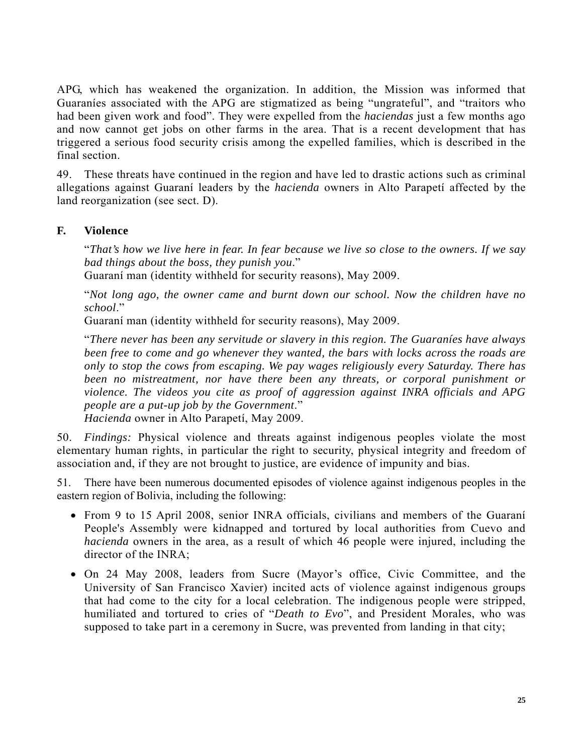APG, which has weakened the organization. In addition, the Mission was informed that Guaraníes associated with the APG are stigmatized as being "ungrateful", and "traitors who had been given work and food". They were expelled from the *haciendas* just a few months ago and now cannot get jobs on other farms in the area. That is a recent development that has triggered a serious food security crisis among the expelled families, which is described in the final section.

49. These threats have continued in the region and have led to drastic actions such as criminal allegations against Guaraní leaders by the *hacienda* owners in Alto Parapetí affected by the land reorganization (see sect. D).

#### **F. Violence**

"*That's how we live here in fear. In fear because we live so close to the owners. If we say bad things about the boss, they punish you*."

Guaraní man (identity withheld for security reasons), May 2009.

"*Not long ago, the owner came and burnt down our school. Now the children have no school*."

Guaraní man (identity withheld for security reasons), May 2009.

"*There never has been any servitude or slavery in this region. The Guaraníes have always been free to come and go whenever they wanted, the bars with locks across the roads are only to stop the cows from escaping. We pay wages religiously every Saturday. There has been no mistreatment, nor have there been any threats, or corporal punishment or violence. The videos you cite as proof of aggression against INRA officials and APG people are a put-up job by the Government*."

*Hacienda* owner in Alto Parapetí, May 2009.

50. *Findings:* Physical violence and threats against indigenous peoples violate the most elementary human rights, in particular the right to security, physical integrity and freedom of association and, if they are not brought to justice, are evidence of impunity and bias.

51. There have been numerous documented episodes of violence against indigenous peoples in the eastern region of Bolivia, including the following:

- From 9 to 15 April 2008, senior INRA officials, civilians and members of the Guaraní People's Assembly were kidnapped and tortured by local authorities from Cuevo and *hacienda* owners in the area, as a result of which 46 people were injured, including the director of the INRA;
- On 24 May 2008, leaders from Sucre (Mayor's office, Civic Committee, and the University of San Francisco Xavier) incited acts of violence against indigenous groups that had come to the city for a local celebration. The indigenous people were stripped, humiliated and tortured to cries of "*Death to Evo*", and President Morales, who was supposed to take part in a ceremony in Sucre, was prevented from landing in that city;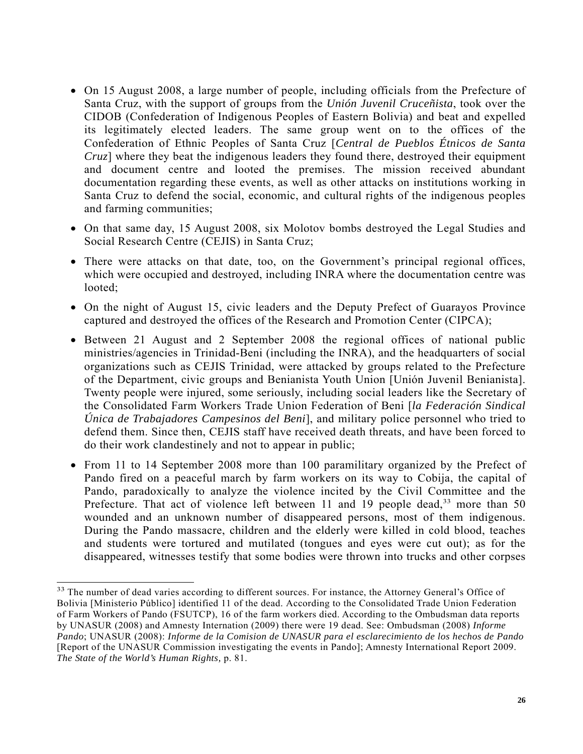- On 15 August 2008, a large number of people, including officials from the Prefecture of Santa Cruz, with the support of groups from the *Unión Juvenil Cruceñista*, took over the CIDOB (Confederation of Indigenous Peoples of Eastern Bolivia) and beat and expelled its legitimately elected leaders. The same group went on to the offices of the Confederation of Ethnic Peoples of Santa Cruz [*Central de Pueblos Étnicos de Santa Cruz*] where they beat the indigenous leaders they found there, destroyed their equipment and document centre and looted the premises. The mission received abundant documentation regarding these events, as well as other attacks on institutions working in Santa Cruz to defend the social, economic, and cultural rights of the indigenous peoples and farming communities;
- On that same day, 15 August 2008, six Molotov bombs destroyed the Legal Studies and Social Research Centre (CEJIS) in Santa Cruz;
- There were attacks on that date, too, on the Government's principal regional offices, which were occupied and destroyed, including INRA where the documentation centre was looted;
- On the night of August 15, civic leaders and the Deputy Prefect of Guarayos Province captured and destroyed the offices of the Research and Promotion Center (CIPCA);
- Between 21 August and 2 September 2008 the regional offices of national public ministries/agencies in Trinidad-Beni (including the INRA), and the headquarters of social organizations such as CEJIS Trinidad, were attacked by groups related to the Prefecture of the Department, civic groups and Benianista Youth Union [Unión Juvenil Benianista]. Twenty people were injured, some seriously, including social leaders like the Secretary of the Consolidated Farm Workers Trade Union Federation of Beni [*la Federación Sindical Única de Trabajadores Campesinos del Beni*], and military police personnel who tried to defend them. Since then, CEJIS staff have received death threats, and have been forced to do their work clandestinely and not to appear in public;
- From 11 to 14 September 2008 more than 100 paramilitary organized by the Prefect of Pando fired on a peaceful march by farm workers on its way to Cobija, the capital of Pando, paradoxically to analyze the violence incited by the Civil Committee and the Prefecture. That act of violence left between 11 and 19 people dead,<sup>33</sup> more than 50 wounded and an unknown number of disappeared persons, most of them indigenous. During the Pando massacre, children and the elderly were killed in cold blood, teaches and students were tortured and mutilated (tongues and eyes were cut out); as for the disappeared, witnesses testify that some bodies were thrown into trucks and other corpses

l

<sup>&</sup>lt;sup>33</sup> The number of dead varies according to different sources. For instance, the Attorney General's Office of Bolivia [Ministerio Público] identified 11 of the dead. According to the Consolidated Trade Union Federation of Farm Workers of Pando (FSUTCP), 16 of the farm workers died. According to the Ombudsman data reports by UNASUR (2008) and Amnesty Internation (2009) there were 19 dead. See: Ombudsman (2008) *Informe Pando*; UNASUR (2008): *Informe de la Comision de UNASUR para el esclarecimiento de los hechos de Pando* [Report of the UNASUR Commission investigating the events in Pando]; Amnesty International Report 2009. *The State of the World's Human Rights,* p. 81.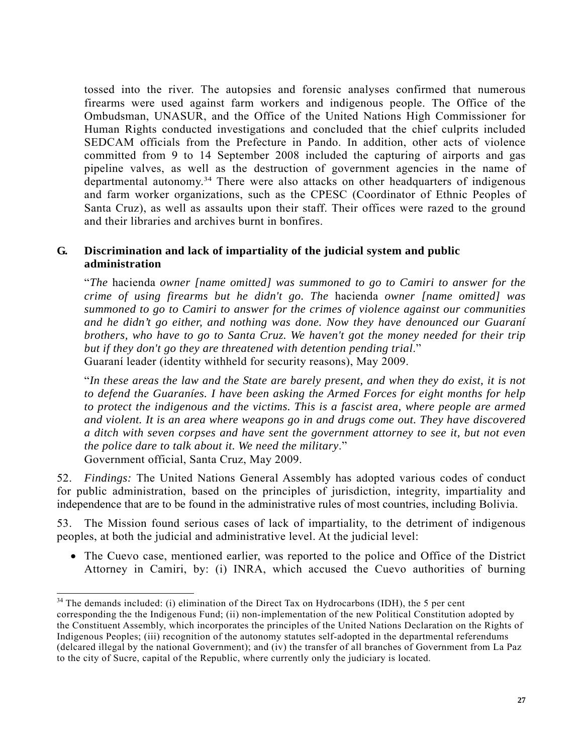tossed into the river. The autopsies and forensic analyses confirmed that numerous firearms were used against farm workers and indigenous people. The Office of the Ombudsman, UNASUR, and the Office of the United Nations High Commissioner for Human Rights conducted investigations and concluded that the chief culprits included SEDCAM officials from the Prefecture in Pando. In addition, other acts of violence committed from 9 to 14 September 2008 included the capturing of airports and gas pipeline valves, as well as the destruction of government agencies in the name of departmental autonomy.<sup>34</sup> There were also attacks on other headquarters of indigenous and farm worker organizations, such as the CPESC (Coordinator of Ethnic Peoples of Santa Cruz), as well as assaults upon their staff. Their offices were razed to the ground and their libraries and archives burnt in bonfires.

### **G. Discrimination and lack of impartiality of the judicial system and public administration**

"*The* hacienda *owner [name omitted] was summoned to go to Camiri to answer for the crime of using firearms but he didn't go. The* hacienda *owner [name omitted] was summoned to go to Camiri to answer for the crimes of violence against our communities and he didn't go either, and nothing was done. Now they have denounced our Guaraní brothers, who have to go to Santa Cruz. We haven't got the money needed for their trip but if they don't go they are threatened with detention pending trial*." Guaraní leader (identity withheld for security reasons), May 2009.

"*In these areas the law and the State are barely present, and when they do exist, it is not to defend the Guaraníes. I have been asking the Armed Forces for eight months for help to protect the indigenous and the victims. This is a fascist area, where people are armed and violent. It is an area where weapons go in and drugs come out. They have discovered a ditch with seven corpses and have sent the government attorney to see it, but not even the police dare to talk about it. We need the military*." Government official, Santa Cruz, May 2009.

52. *Findings:* The United Nations General Assembly has adopted various codes of conduct for public administration, based on the principles of jurisdiction, integrity, impartiality and independence that are to be found in the administrative rules of most countries, including Bolivia.

53. The Mission found serious cases of lack of impartiality, to the detriment of indigenous peoples, at both the judicial and administrative level. At the judicial level:

• The Cuevo case, mentioned earlier, was reported to the police and Office of the District Attorney in Camiri, by: (i) INRA, which accused the Cuevo authorities of burning

 $\overline{a}$ 

 $34$  The demands included: (i) elimination of the Direct Tax on Hydrocarbons (IDH), the 5 per cent corresponding the the Indigenous Fund; (ii) non-implementation of the new Political Constitution adopted by the Constituent Assembly, which incorporates the principles of the United Nations Declaration on the Rights of Indigenous Peoples; (iii) recognition of the autonomy statutes self-adopted in the departmental referendums (delcared illegal by the national Government); and (iv) the transfer of all branches of Government from La Paz to the city of Sucre, capital of the Republic, where currently only the judiciary is located.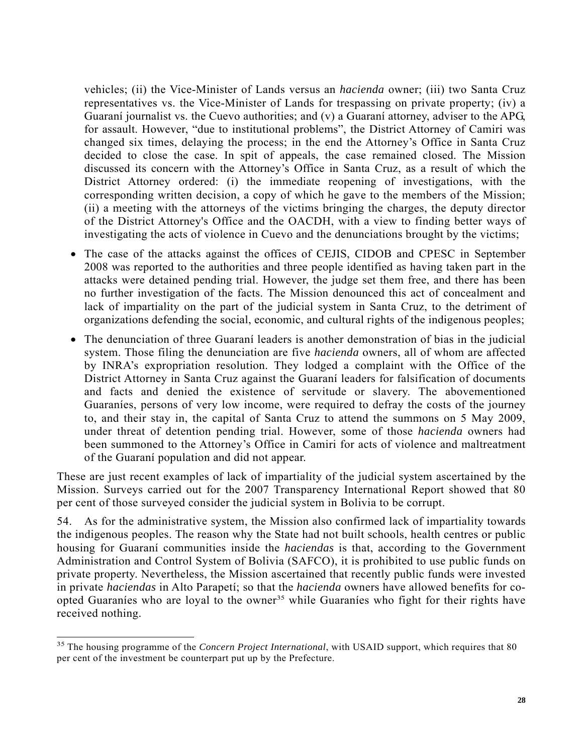vehicles; (ii) the Vice-Minister of Lands versus an *hacienda* owner; (iii) two Santa Cruz representatives vs. the Vice-Minister of Lands for trespassing on private property; (iv) a Guaraní journalist vs. the Cuevo authorities; and (v) a Guaraní attorney, adviser to the APG, for assault. However, "due to institutional problems", the District Attorney of Camiri was changed six times, delaying the process; in the end the Attorney's Office in Santa Cruz decided to close the case. In spit of appeals, the case remained closed. The Mission discussed its concern with the Attorney's Office in Santa Cruz, as a result of which the District Attorney ordered: (i) the immediate reopening of investigations, with the corresponding written decision, a copy of which he gave to the members of the Mission; (ii) a meeting with the attorneys of the victims bringing the charges, the deputy director of the District Attorney's Office and the OACDH, with a view to finding better ways of investigating the acts of violence in Cuevo and the denunciations brought by the victims;

- The case of the attacks against the offices of CEJIS, CIDOB and CPESC in September 2008 was reported to the authorities and three people identified as having taken part in the attacks were detained pending trial. However, the judge set them free, and there has been no further investigation of the facts. The Mission denounced this act of concealment and lack of impartiality on the part of the judicial system in Santa Cruz, to the detriment of organizations defending the social, economic, and cultural rights of the indigenous peoples;
- The denunciation of three Guaraní leaders is another demonstration of bias in the judicial system. Those filing the denunciation are five *hacienda* owners, all of whom are affected by INRA's expropriation resolution. They lodged a complaint with the Office of the District Attorney in Santa Cruz against the Guaraní leaders for falsification of documents and facts and denied the existence of servitude or slavery. The abovementioned Guaraníes, persons of very low income, were required to defray the costs of the journey to, and their stay in, the capital of Santa Cruz to attend the summons on 5 May 2009, under threat of detention pending trial. However, some of those *hacienda* owners had been summoned to the Attorney's Office in Camiri for acts of violence and maltreatment of the Guaraní population and did not appear.

These are just recent examples of lack of impartiality of the judicial system ascertained by the Mission. Surveys carried out for the 2007 Transparency International Report showed that 80 per cent of those surveyed consider the judicial system in Bolivia to be corrupt.

54. As for the administrative system, the Mission also confirmed lack of impartiality towards the indigenous peoples. The reason why the State had not built schools, health centres or public housing for Guaraní communities inside the *haciendas* is that, according to the Government Administration and Control System of Bolivia (SAFCO), it is prohibited to use public funds on private property. Nevertheless, the Mission ascertained that recently public funds were invested in private *haciendas* in Alto Parapetí; so that the *hacienda* owners have allowed benefits for coopted Guaraníes who are loyal to the owner<sup>35</sup> while Guaraníes who fight for their rights have received nothing.

 $\overline{a}$ 

<sup>&</sup>lt;sup>35</sup> The housing programme of the *Concern Project International*, with USAID support, which requires that 80 per cent of the investment be counterpart put up by the Prefecture.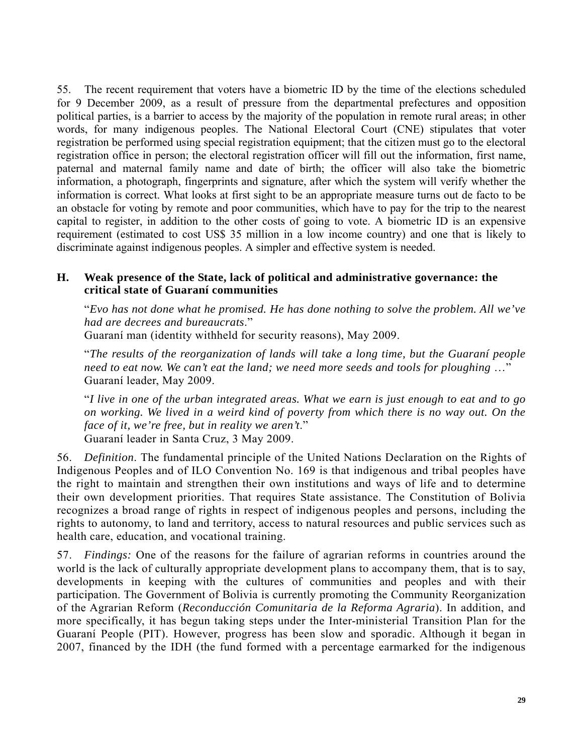55. The recent requirement that voters have a biometric ID by the time of the elections scheduled for 9 December 2009, as a result of pressure from the departmental prefectures and opposition political parties, is a barrier to access by the majority of the population in remote rural areas; in other words, for many indigenous peoples. The National Electoral Court (CNE) stipulates that voter registration be performed using special registration equipment; that the citizen must go to the electoral registration office in person; the electoral registration officer will fill out the information, first name, paternal and maternal family name and date of birth; the officer will also take the biometric information, a photograph, fingerprints and signature, after which the system will verify whether the information is correct. What looks at first sight to be an appropriate measure turns out de facto to be an obstacle for voting by remote and poor communities, which have to pay for the trip to the nearest capital to register, in addition to the other costs of going to vote. A biometric ID is an expensive requirement (estimated to cost US\$ 35 million in a low income country) and one that is likely to discriminate against indigenous peoples. A simpler and effective system is needed.

### **H. Weak presence of the State, lack of political and administrative governance: the critical state of Guaraní communities**

"*Evo has not done what he promised. He has done nothing to solve the problem. All we've had are decrees and bureaucrats*."

Guaraní man (identity withheld for security reasons), May 2009.

"*The results of the reorganization of lands will take a long time, but the Guaraní people need to eat now. We can't eat the land; we need more seeds and tools for ploughing* …" Guaraní leader, May 2009.

"*I live in one of the urban integrated areas. What we earn is just enough to eat and to go on working. We lived in a weird kind of poverty from which there is no way out. On the face of it, we're free, but in reality we aren't*." Guaraní leader in Santa Cruz, 3 May 2009.

56. *Definition*. The fundamental principle of the United Nations Declaration on the Rights of Indigenous Peoples and of ILO Convention No. 169 is that indigenous and tribal peoples have the right to maintain and strengthen their own institutions and ways of life and to determine their own development priorities. That requires State assistance. The Constitution of Bolivia recognizes a broad range of rights in respect of indigenous peoples and persons, including the rights to autonomy, to land and territory, access to natural resources and public services such as health care, education, and vocational training.

57. *Findings:* One of the reasons for the failure of agrarian reforms in countries around the world is the lack of culturally appropriate development plans to accompany them, that is to say, developments in keeping with the cultures of communities and peoples and with their participation. The Government of Bolivia is currently promoting the Community Reorganization of the Agrarian Reform (*Reconducción Comunitaria de la Reforma Agraria*). In addition, and more specifically, it has begun taking steps under the Inter-ministerial Transition Plan for the Guaraní People (PIT). However, progress has been slow and sporadic. Although it began in 2007, financed by the IDH (the fund formed with a percentage earmarked for the indigenous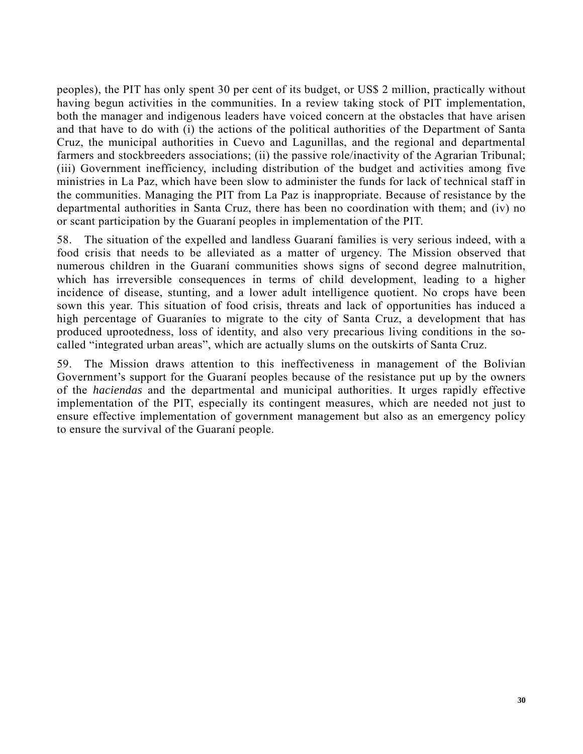peoples), the PIT has only spent 30 per cent of its budget, or US\$ 2 million, practically without having begun activities in the communities. In a review taking stock of PIT implementation, both the manager and indigenous leaders have voiced concern at the obstacles that have arisen and that have to do with (i) the actions of the political authorities of the Department of Santa Cruz, the municipal authorities in Cuevo and Lagunillas, and the regional and departmental farmers and stockbreeders associations; (ii) the passive role/inactivity of the Agrarian Tribunal; (iii) Government inefficiency, including distribution of the budget and activities among five ministries in La Paz, which have been slow to administer the funds for lack of technical staff in the communities. Managing the PIT from La Paz is inappropriate. Because of resistance by the departmental authorities in Santa Cruz, there has been no coordination with them; and (iv) no or scant participation by the Guaraní peoples in implementation of the PIT.

58. The situation of the expelled and landless Guaraní families is very serious indeed, with a food crisis that needs to be alleviated as a matter of urgency. The Mission observed that numerous children in the Guaraní communities shows signs of second degree malnutrition, which has irreversible consequences in terms of child development, leading to a higher incidence of disease, stunting, and a lower adult intelligence quotient. No crops have been sown this year. This situation of food crisis, threats and lack of opportunities has induced a high percentage of Guaraníes to migrate to the city of Santa Cruz, a development that has produced uprootedness, loss of identity, and also very precarious living conditions in the socalled "integrated urban areas", which are actually slums on the outskirts of Santa Cruz.

59. The Mission draws attention to this ineffectiveness in management of the Bolivian Government's support for the Guaraní peoples because of the resistance put up by the owners of the *haciendas* and the departmental and municipal authorities. It urges rapidly effective implementation of the PIT, especially its contingent measures, which are needed not just to ensure effective implementation of government management but also as an emergency policy to ensure the survival of the Guaraní people.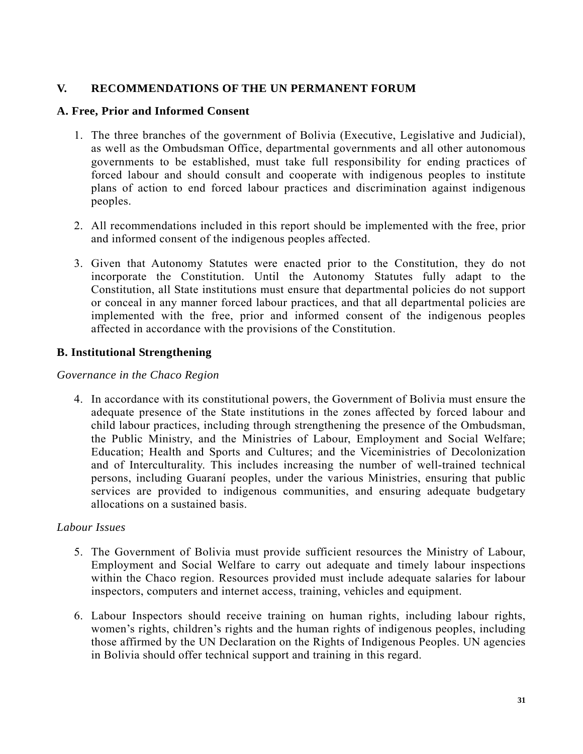## **V. RECOMMENDATIONS OF THE UN PERMANENT FORUM**

#### **A. Free, Prior and Informed Consent**

- 1. The three branches of the government of Bolivia (Executive, Legislative and Judicial), as well as the Ombudsman Office, departmental governments and all other autonomous governments to be established, must take full responsibility for ending practices of forced labour and should consult and cooperate with indigenous peoples to institute plans of action to end forced labour practices and discrimination against indigenous peoples.
- 2. All recommendations included in this report should be implemented with the free, prior and informed consent of the indigenous peoples affected.
- 3. Given that Autonomy Statutes were enacted prior to the Constitution, they do not incorporate the Constitution. Until the Autonomy Statutes fully adapt to the Constitution, all State institutions must ensure that departmental policies do not support or conceal in any manner forced labour practices, and that all departmental policies are implemented with the free, prior and informed consent of the indigenous peoples affected in accordance with the provisions of the Constitution.

### **B. Institutional Strengthening**

#### *Governance in the Chaco Region*

4. In accordance with its constitutional powers, the Government of Bolivia must ensure the adequate presence of the State institutions in the zones affected by forced labour and child labour practices, including through strengthening the presence of the Ombudsman, the Public Ministry, and the Ministries of Labour, Employment and Social Welfare; Education; Health and Sports and Cultures; and the Viceministries of Decolonization and of Interculturality. This includes increasing the number of well-trained technical persons, including Guaraní peoples, under the various Ministries, ensuring that public services are provided to indigenous communities, and ensuring adequate budgetary allocations on a sustained basis.

#### *Labour Issues*

- 5. The Government of Bolivia must provide sufficient resources the Ministry of Labour, Employment and Social Welfare to carry out adequate and timely labour inspections within the Chaco region. Resources provided must include adequate salaries for labour inspectors, computers and internet access, training, vehicles and equipment.
- 6. Labour Inspectors should receive training on human rights, including labour rights, women's rights, children's rights and the human rights of indigenous peoples, including those affirmed by the UN Declaration on the Rights of Indigenous Peoples. UN agencies in Bolivia should offer technical support and training in this regard.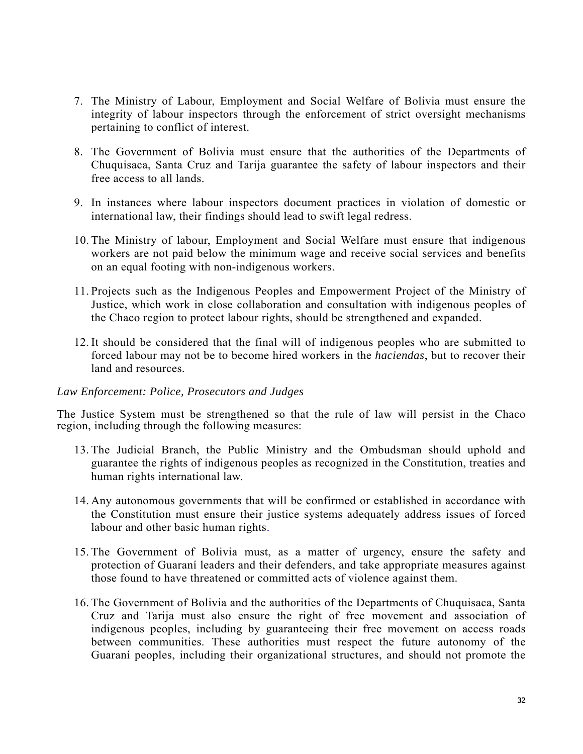- 7. The Ministry of Labour, Employment and Social Welfare of Bolivia must ensure the integrity of labour inspectors through the enforcement of strict oversight mechanisms pertaining to conflict of interest.
- 8. The Government of Bolivia must ensure that the authorities of the Departments of Chuquisaca, Santa Cruz and Tarija guarantee the safety of labour inspectors and their free access to all lands.
- 9. In instances where labour inspectors document practices in violation of domestic or international law, their findings should lead to swift legal redress.
- 10. The Ministry of labour, Employment and Social Welfare must ensure that indigenous workers are not paid below the minimum wage and receive social services and benefits on an equal footing with non-indigenous workers.
- 11. Projects such as the Indigenous Peoples and Empowerment Project of the Ministry of Justice, which work in close collaboration and consultation with indigenous peoples of the Chaco region to protect labour rights, should be strengthened and expanded.
- 12. It should be considered that the final will of indigenous peoples who are submitted to forced labour may not be to become hired workers in the *haciendas*, but to recover their land and resources.

#### *Law Enforcement: Police, Prosecutors and Judges*

The Justice System must be strengthened so that the rule of law will persist in the Chaco region, including through the following measures:

- 13. The Judicial Branch, the Public Ministry and the Ombudsman should uphold and guarantee the rights of indigenous peoples as recognized in the Constitution, treaties and human rights international law.
- 14. Any autonomous governments that will be confirmed or established in accordance with the Constitution must ensure their justice systems adequately address issues of forced labour and other basic human rights.
- 15. The Government of Bolivia must, as a matter of urgency, ensure the safety and protection of Guaraní leaders and their defenders, and take appropriate measures against those found to have threatened or committed acts of violence against them.
- 16. The Government of Bolivia and the authorities of the Departments of Chuquisaca, Santa Cruz and Tarija must also ensure the right of free movement and association of indigenous peoples, including by guaranteeing their free movement on access roads between communities. These authorities must respect the future autonomy of the Guaraní peoples, including their organizational structures, and should not promote the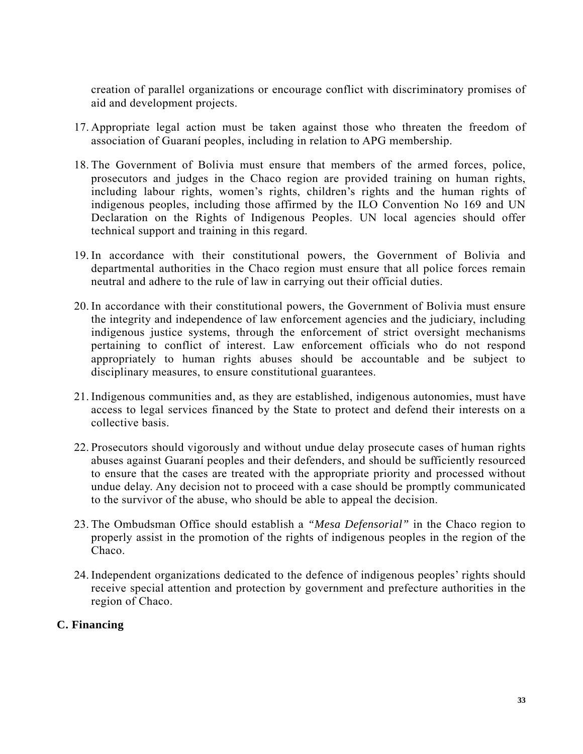creation of parallel organizations or encourage conflict with discriminatory promises of aid and development projects.

- 17. Appropriate legal action must be taken against those who threaten the freedom of association of Guaraní peoples, including in relation to APG membership.
- 18. The Government of Bolivia must ensure that members of the armed forces, police, prosecutors and judges in the Chaco region are provided training on human rights, including labour rights, women's rights, children's rights and the human rights of indigenous peoples, including those affirmed by the ILO Convention No 169 and UN Declaration on the Rights of Indigenous Peoples. UN local agencies should offer technical support and training in this regard.
- 19. In accordance with their constitutional powers, the Government of Bolivia and departmental authorities in the Chaco region must ensure that all police forces remain neutral and adhere to the rule of law in carrying out their official duties.
- 20. In accordance with their constitutional powers, the Government of Bolivia must ensure the integrity and independence of law enforcement agencies and the judiciary, including indigenous justice systems, through the enforcement of strict oversight mechanisms pertaining to conflict of interest. Law enforcement officials who do not respond appropriately to human rights abuses should be accountable and be subject to disciplinary measures, to ensure constitutional guarantees.
- 21. Indigenous communities and, as they are established, indigenous autonomies, must have access to legal services financed by the State to protect and defend their interests on a collective basis.
- 22. Prosecutors should vigorously and without undue delay prosecute cases of human rights abuses against Guaraní peoples and their defenders, and should be sufficiently resourced to ensure that the cases are treated with the appropriate priority and processed without undue delay. Any decision not to proceed with a case should be promptly communicated to the survivor of the abuse, who should be able to appeal the decision.
- 23. The Ombudsman Office should establish a *"Mesa Defensorial"* in the Chaco region to properly assist in the promotion of the rights of indigenous peoples in the region of the Chaco.
- 24. Independent organizations dedicated to the defence of indigenous peoples' rights should receive special attention and protection by government and prefecture authorities in the region of Chaco.

### **C. Financing**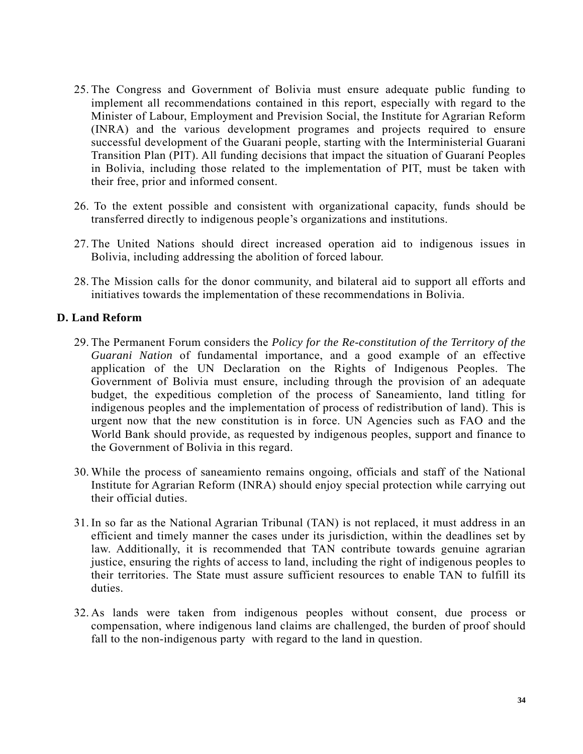- 25. The Congress and Government of Bolivia must ensure adequate public funding to implement all recommendations contained in this report, especially with regard to the Minister of Labour, Employment and Prevision Social, the Institute for Agrarian Reform (INRA) and the various development programes and projects required to ensure successful development of the Guarani people, starting with the Interministerial Guarani Transition Plan (PIT). All funding decisions that impact the situation of Guaraní Peoples in Bolivia, including those related to the implementation of PIT, must be taken with their free, prior and informed consent.
- 26. To the extent possible and consistent with organizational capacity, funds should be transferred directly to indigenous people's organizations and institutions.
- 27. The United Nations should direct increased operation aid to indigenous issues in Bolivia, including addressing the abolition of forced labour.
- 28. The Mission calls for the donor community, and bilateral aid to support all efforts and initiatives towards the implementation of these recommendations in Bolivia.

#### **D. Land Reform**

- 29. The Permanent Forum considers the *Policy for the Re-constitution of the Territory of the Guarani Nation* of fundamental importance, and a good example of an effective application of the UN Declaration on the Rights of Indigenous Peoples. The Government of Bolivia must ensure, including through the provision of an adequate budget, the expeditious completion of the process of Saneamiento, land titling for indigenous peoples and the implementation of process of redistribution of land). This is urgent now that the new constitution is in force. UN Agencies such as FAO and the World Bank should provide, as requested by indigenous peoples, support and finance to the Government of Bolivia in this regard.
- 30. While the process of saneamiento remains ongoing, officials and staff of the National Institute for Agrarian Reform (INRA) should enjoy special protection while carrying out their official duties.
- 31. In so far as the National Agrarian Tribunal (TAN) is not replaced, it must address in an efficient and timely manner the cases under its jurisdiction, within the deadlines set by law. Additionally, it is recommended that TAN contribute towards genuine agrarian justice, ensuring the rights of access to land, including the right of indigenous peoples to their territories. The State must assure sufficient resources to enable TAN to fulfill its duties.
- 32. As lands were taken from indigenous peoples without consent, due process or compensation, where indigenous land claims are challenged, the burden of proof should fall to the non-indigenous party with regard to the land in question.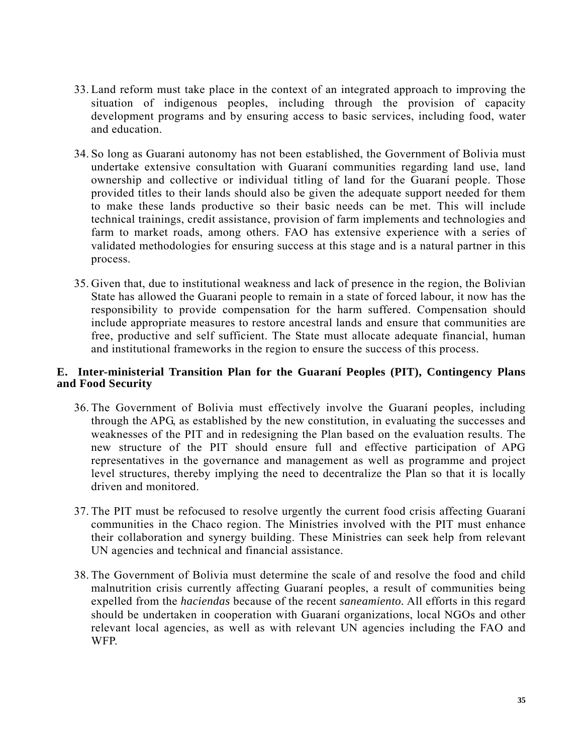- 33. Land reform must take place in the context of an integrated approach to improving the situation of indigenous peoples, including through the provision of capacity development programs and by ensuring access to basic services, including food, water and education.
- 34. So long as Guarani autonomy has not been established, the Government of Bolivia must undertake extensive consultation with Guaraní communities regarding land use, land ownership and collective or individual titling of land for the Guaraní people. Those provided titles to their lands should also be given the adequate support needed for them to make these lands productive so their basic needs can be met. This will include technical trainings, credit assistance, provision of farm implements and technologies and farm to market roads, among others. FAO has extensive experience with a series of validated methodologies for ensuring success at this stage and is a natural partner in this process.
- 35. Given that, due to institutional weakness and lack of presence in the region, the Bolivian State has allowed the Guarani people to remain in a state of forced labour, it now has the responsibility to provide compensation for the harm suffered. Compensation should include appropriate measures to restore ancestral lands and ensure that communities are free, productive and self sufficient. The State must allocate adequate financial, human and institutional frameworks in the region to ensure the success of this process.

#### **E. Inter-ministerial Transition Plan for the Guaraní Peoples (PIT), Contingency Plans and Food Security**

- 36. The Government of Bolivia must effectively involve the Guaraní peoples, including through the APG, as established by the new constitution, in evaluating the successes and weaknesses of the PIT and in redesigning the Plan based on the evaluation results. The new structure of the PIT should ensure full and effective participation of APG representatives in the governance and management as well as programme and project level structures, thereby implying the need to decentralize the Plan so that it is locally driven and monitored.
- 37. The PIT must be refocused to resolve urgently the current food crisis affecting Guaraní communities in the Chaco region. The Ministries involved with the PIT must enhance their collaboration and synergy building. These Ministries can seek help from relevant UN agencies and technical and financial assistance.
- 38. The Government of Bolivia must determine the scale of and resolve the food and child malnutrition crisis currently affecting Guaraní peoples, a result of communities being expelled from the *haciendas* because of the recent *saneamiento.* All efforts in this regard should be undertaken in cooperation with Guaraní organizations, local NGOs and other relevant local agencies, as well as with relevant UN agencies including the FAO and WFP.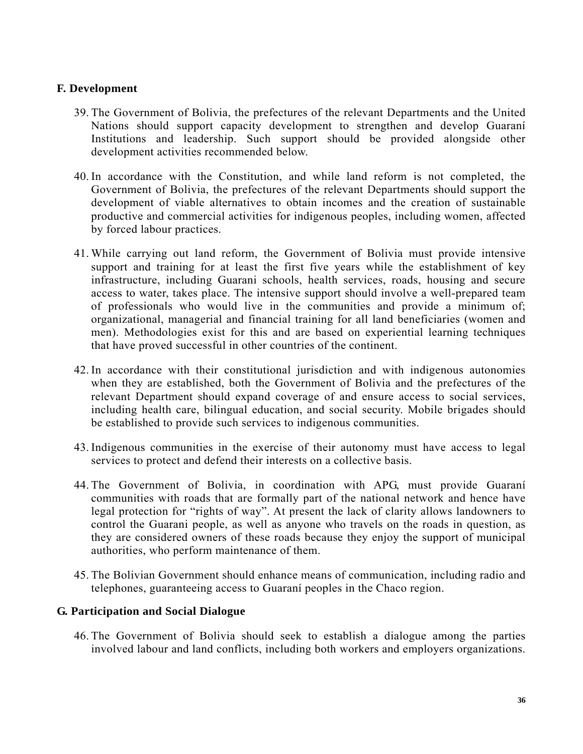#### **F. Development**

- 39. The Government of Bolivia, the prefectures of the relevant Departments and the United Nations should support capacity development to strengthen and develop Guaraní Institutions and leadership. Such support should be provided alongside other development activities recommended below.
- 40. In accordance with the Constitution, and while land reform is not completed, the Government of Bolivia, the prefectures of the relevant Departments should support the development of viable alternatives to obtain incomes and the creation of sustainable productive and commercial activities for indigenous peoples, including women, affected by forced labour practices.
- 41. While carrying out land reform, the Government of Bolivia must provide intensive support and training for at least the first five years while the establishment of key infrastructure, including Guarani schools, health services, roads, housing and secure access to water, takes place. The intensive support should involve a well-prepared team of professionals who would live in the communities and provide a minimum of; organizational, managerial and financial training for all land beneficiaries (women and men). Methodologies exist for this and are based on experiential learning techniques that have proved successful in other countries of the continent.
- 42. In accordance with their constitutional jurisdiction and with indigenous autonomies when they are established, both the Government of Bolivia and the prefectures of the relevant Department should expand coverage of and ensure access to social services, including health care, bilingual education, and social security. Mobile brigades should be established to provide such services to indigenous communities.
- 43. Indigenous communities in the exercise of their autonomy must have access to legal services to protect and defend their interests on a collective basis.
- 44. The Government of Bolivia, in coordination with APG, must provide Guaraní communities with roads that are formally part of the national network and hence have legal protection for "rights of way". At present the lack of clarity allows landowners to control the Guarani people, as well as anyone who travels on the roads in question, as they are considered owners of these roads because they enjoy the support of municipal authorities, who perform maintenance of them.
- 45. The Bolivian Government should enhance means of communication, including radio and telephones, guaranteeing access to Guaraní peoples in the Chaco region.

#### **G. Participation and Social Dialogue**

46. The Government of Bolivia should seek to establish a dialogue among the parties involved labour and land conflicts, including both workers and employers organizations.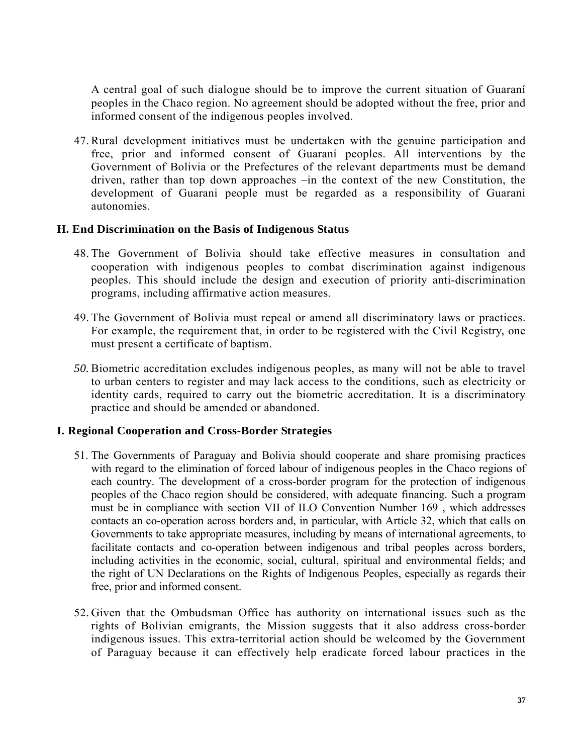A central goal of such dialogue should be to improve the current situation of Guaraní peoples in the Chaco region. No agreement should be adopted without the free, prior and informed consent of the indigenous peoples involved.

47. Rural development initiatives must be undertaken with the genuine participation and free, prior and informed consent of Guaraní peoples. All interventions by the Government of Bolivia or the Prefectures of the relevant departments must be demand driven, rather than top down approaches –in the context of the new Constitution, the development of Guarani people must be regarded as a responsibility of Guarani autonomies.

#### **H. End Discrimination on the Basis of Indigenous Status**

- 48. The Government of Bolivia should take effective measures in consultation and cooperation with indigenous peoples to combat discrimination against indigenous peoples. This should include the design and execution of priority anti-discrimination programs, including affirmative action measures.
- 49. The Government of Bolivia must repeal or amend all discriminatory laws or practices. For example, the requirement that, in order to be registered with the Civil Registry, one must present a certificate of baptism.
- *50.* Biometric accreditation excludes indigenous peoples, as many will not be able to travel to urban centers to register and may lack access to the conditions, such as electricity or identity cards, required to carry out the biometric accreditation. It is a discriminatory practice and should be amended or abandoned.

#### **I. Regional Cooperation and Cross-Border Strategies**

- 51. The Governments of Paraguay and Bolivia should cooperate and share promising practices with regard to the elimination of forced labour of indigenous peoples in the Chaco regions of each country. The development of a cross-border program for the protection of indigenous peoples of the Chaco region should be considered, with adequate financing. Such a program must be in compliance with section VII of ILO Convention Number 169 , which addresses contacts an co-operation across borders and, in particular, with Article 32, which that calls on Governments to take appropriate measures, including by means of international agreements, to facilitate contacts and co-operation between indigenous and tribal peoples across borders, including activities in the economic, social, cultural, spiritual and environmental fields; and the right of UN Declarations on the Rights of Indigenous Peoples, especially as regards their free, prior and informed consent.
- 52. Given that the Ombudsman Office has authority on international issues such as the rights of Bolivian emigrants, the Mission suggests that it also address cross-border indigenous issues. This extra-territorial action should be welcomed by the Government of Paraguay because it can effectively help eradicate forced labour practices in the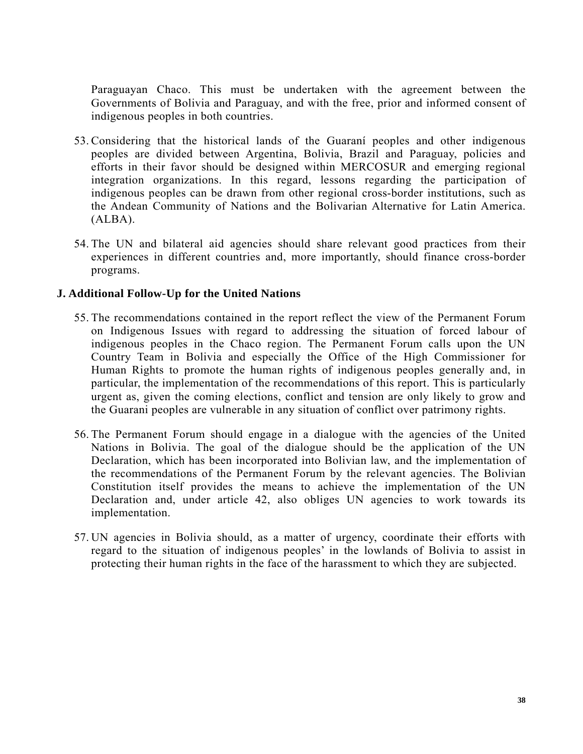Paraguayan Chaco. This must be undertaken with the agreement between the Governments of Bolivia and Paraguay, and with the free, prior and informed consent of indigenous peoples in both countries.

- 53. Considering that the historical lands of the Guaraní peoples and other indigenous peoples are divided between Argentina, Bolivia, Brazil and Paraguay, policies and efforts in their favor should be designed within MERCOSUR and emerging regional integration organizations. In this regard, lessons regarding the participation of indigenous peoples can be drawn from other regional cross-border institutions, such as the Andean Community of Nations and the Bolivarian Alternative for Latin America. (ALBA).
- 54. The UN and bilateral aid agencies should share relevant good practices from their experiences in different countries and, more importantly, should finance cross-border programs.

#### **J. Additional Follow-Up for the United Nations**

- 55. The recommendations contained in the report reflect the view of the Permanent Forum on Indigenous Issues with regard to addressing the situation of forced labour of indigenous peoples in the Chaco region. The Permanent Forum calls upon the UN Country Team in Bolivia and especially the Office of the High Commissioner for Human Rights to promote the human rights of indigenous peoples generally and, in particular, the implementation of the recommendations of this report. This is particularly urgent as, given the coming elections, conflict and tension are only likely to grow and the Guarani peoples are vulnerable in any situation of conflict over patrimony rights.
- 56. The Permanent Forum should engage in a dialogue with the agencies of the United Nations in Bolivia. The goal of the dialogue should be the application of the UN Declaration, which has been incorporated into Bolivian law, and the implementation of the recommendations of the Permanent Forum by the relevant agencies. The Bolivian Constitution itself provides the means to achieve the implementation of the UN Declaration and, under article 42, also obliges UN agencies to work towards its implementation.
- 57. UN agencies in Bolivia should, as a matter of urgency, coordinate their efforts with regard to the situation of indigenous peoples' in the lowlands of Bolivia to assist in protecting their human rights in the face of the harassment to which they are subjected.